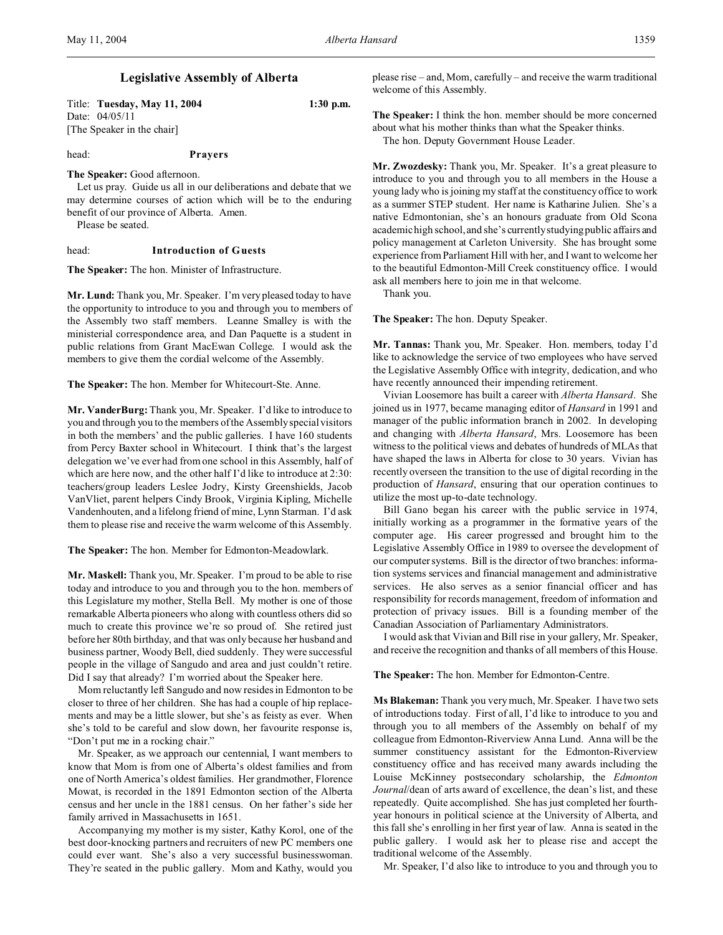Title: **Tuesday, May 11, 2004 1:30 p.m.** Date: 04/05/11 [The Speaker in the chair]

head: **Prayers**

**The Speaker:** Good afternoon.

Let us pray. Guide us all in our deliberations and debate that we may determine courses of action which will be to the enduring benefit of our province of Alberta. Amen.

Please be seated.

#### head: **Introduction of Guests**

**The Speaker:** The hon. Minister of Infrastructure.

**Mr. Lund:** Thank you, Mr. Speaker. I'm very pleased today to have the opportunity to introduce to you and through you to members of the Assembly two staff members. Leanne Smalley is with the ministerial correspondence area, and Dan Paquette is a student in public relations from Grant MacEwan College. I would ask the members to give them the cordial welcome of the Assembly.

**The Speaker:** The hon. Member for Whitecourt-Ste. Anne.

**Mr. VanderBurg:** Thank you, Mr. Speaker. I'd like to introduce to you and through you to the members of the Assembly special visitors in both the members' and the public galleries. I have 160 students from Percy Baxter school in Whitecourt. I think that's the largest delegation we've ever had from one school in this Assembly, half of which are here now, and the other half I'd like to introduce at 2:30: teachers/group leaders Leslee Jodry, Kirsty Greenshields, Jacob VanVliet, parent helpers Cindy Brook, Virginia Kipling, Michelle Vandenhouten, and a lifelong friend of mine, Lynn Starman. I'd ask them to please rise and receive the warm welcome of this Assembly.

**The Speaker:** The hon. Member for Edmonton-Meadowlark.

**Mr. Maskell:** Thank you, Mr. Speaker. I'm proud to be able to rise today and introduce to you and through you to the hon. members of this Legislature my mother, Stella Bell. My mother is one of those remarkable Alberta pioneers who along with countless others did so much to create this province we're so proud of. She retired just before her 80th birthday, and that was only because her husband and business partner, Woody Bell, died suddenly. They were successful people in the village of Sangudo and area and just couldn't retire. Did I say that already? I'm worried about the Speaker here.

Mom reluctantly left Sangudo and now resides in Edmonton to be closer to three of her children. She has had a couple of hip replacements and may be a little slower, but she's as feisty as ever. When she's told to be careful and slow down, her favourite response is, "Don't put me in a rocking chair."

Mr. Speaker, as we approach our centennial, I want members to know that Mom is from one of Alberta's oldest families and from one of North America's oldest families. Her grandmother, Florence Mowat, is recorded in the 1891 Edmonton section of the Alberta census and her uncle in the 1881 census. On her father's side her family arrived in Massachusetts in 1651.

Accompanying my mother is my sister, Kathy Korol, one of the best door-knocking partners and recruiters of new PC members one could ever want. She's also a very successful businesswoman. They're seated in the public gallery. Mom and Kathy, would you please rise – and, Mom, carefully – and receive the warm traditional welcome of this Assembly.

**The Speaker:** I think the hon. member should be more concerned about what his mother thinks than what the Speaker thinks. The hon. Deputy Government House Leader.

**Mr. Zwozdesky:** Thank you, Mr. Speaker. It's a great pleasure to introduce to you and through you to all members in the House a young lady who is joining my staff at the constituency office to work as a summer STEP student. Her name is Katharine Julien. She's a native Edmontonian, she's an honours graduate from Old Scona academic high school, and she's currently studying public affairs and policy management at Carleton University. She has brought some experience from Parliament Hill with her, and I want to welcome her to the beautiful Edmonton-Mill Creek constituency office. I would ask all members here to join me in that welcome.

Thank you.

**The Speaker:** The hon. Deputy Speaker.

**Mr. Tannas:** Thank you, Mr. Speaker. Hon. members, today I'd like to acknowledge the service of two employees who have served the Legislative Assembly Office with integrity, dedication, and who have recently announced their impending retirement.

Vivian Loosemore has built a career with *Alberta Hansard*. She joined us in 1977, became managing editor of *Hansard* in 1991 and manager of the public information branch in 2002. In developing and changing with *Alberta Hansard*, Mrs. Loosemore has been witness to the political views and debates of hundreds of MLAs that have shaped the laws in Alberta for close to 30 years. Vivian has recently overseen the transition to the use of digital recording in the production of *Hansard*, ensuring that our operation continues to utilize the most up-to-date technology.

Bill Gano began his career with the public service in 1974, initially working as a programmer in the formative years of the computer age. His career progressed and brought him to the Legislative Assembly Office in 1989 to oversee the development of our computer systems. Bill is the director of two branches: information systems services and financial management and administrative services. He also serves as a senior financial officer and has responsibility for records management, freedom of information and protection of privacy issues. Bill is a founding member of the Canadian Association of Parliamentary Administrators.

I would ask that Vivian and Bill rise in your gallery, Mr. Speaker, and receive the recognition and thanks of all members of this House.

**The Speaker:** The hon. Member for Edmonton-Centre.

**Ms Blakeman:** Thank you very much, Mr. Speaker. I have two sets of introductions today. First of all, I'd like to introduce to you and through you to all members of the Assembly on behalf of my colleague from Edmonton-Riverview Anna Lund. Anna will be the summer constituency assistant for the Edmonton-Riverview constituency office and has received many awards including the Louise McKinney postsecondary scholarship, the *Edmonton Journal*/dean of arts award of excellence, the dean's list, and these repeatedly. Quite accomplished. She has just completed her fourthyear honours in political science at the University of Alberta, and this fall she's enrolling in her first year of law. Anna is seated in the public gallery. I would ask her to please rise and accept the traditional welcome of the Assembly.

Mr. Speaker, I'd also like to introduce to you and through you to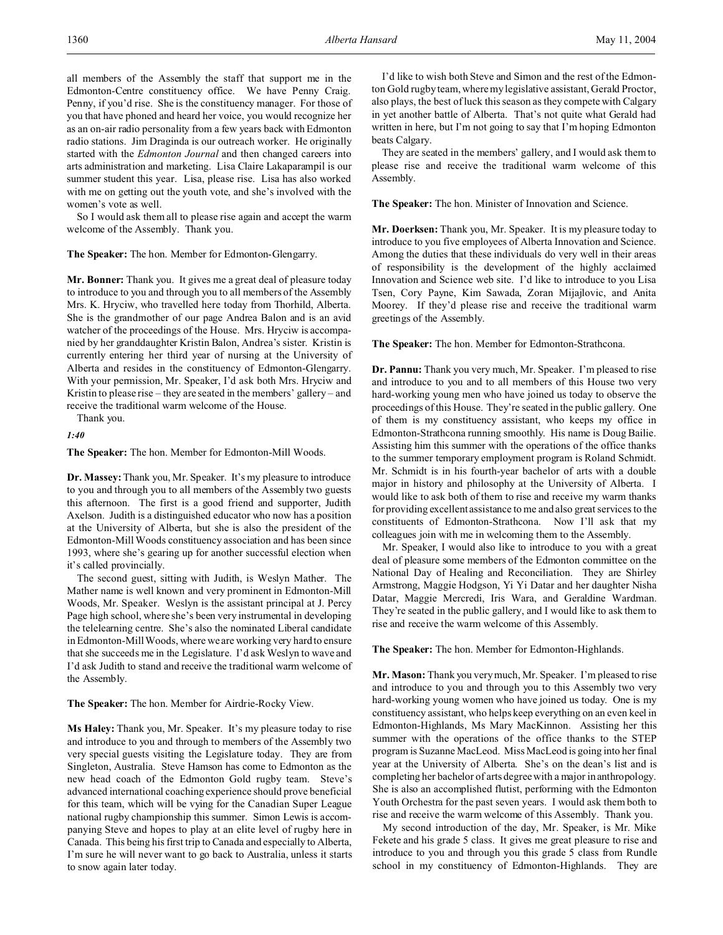all members of the Assembly the staff that support me in the Edmonton-Centre constituency office. We have Penny Craig. Penny, if you'd rise. She is the constituency manager. For those of you that have phoned and heard her voice, you would recognize her as an on-air radio personality from a few years back with Edmonton radio stations. Jim Draginda is our outreach worker. He originally started with the *Edmonton Journal* and then changed careers into arts administration and marketing. Lisa Claire Lakaparampil is our summer student this year. Lisa, please rise. Lisa has also worked with me on getting out the youth vote, and she's involved with the women's vote as well.

So I would ask them all to please rise again and accept the warm welcome of the Assembly. Thank you.

#### **The Speaker:** The hon. Member for Edmonton-Glengarry.

**Mr. Bonner:** Thank you. It gives me a great deal of pleasure today to introduce to you and through you to all members of the Assembly Mrs. K. Hryciw, who travelled here today from Thorhild, Alberta. She is the grandmother of our page Andrea Balon and is an avid watcher of the proceedings of the House. Mrs. Hryciw is accompanied by her granddaughter Kristin Balon, Andrea's sister. Kristin is currently entering her third year of nursing at the University of Alberta and resides in the constituency of Edmonton-Glengarry. With your permission, Mr. Speaker, I'd ask both Mrs. Hryciw and Kristin to please rise – they are seated in the members' gallery – and receive the traditional warm welcome of the House.

Thank you.

*1:40*

**The Speaker:** The hon. Member for Edmonton-Mill Woods.

**Dr. Massey:**Thank you, Mr. Speaker. It's my pleasure to introduce to you and through you to all members of the Assembly two guests this afternoon. The first is a good friend and supporter, Judith Axelson. Judith is a distinguished educator who now has a position at the University of Alberta, but she is also the president of the Edmonton-Mill Woods constituency association and has been since 1993, where she's gearing up for another successful election when it's called provincially.

The second guest, sitting with Judith, is Weslyn Mather. The Mather name is well known and very prominent in Edmonton-Mill Woods, Mr. Speaker. Weslyn is the assistant principal at J. Percy Page high school, where she's been very instrumental in developing the telelearning centre. She's also the nominated Liberal candidate in Edmonton-Mill Woods, where we are working very hard to ensure that she succeeds me in the Legislature. I'd ask Weslyn to wave and I'd ask Judith to stand and receive the traditional warm welcome of the Assembly.

#### **The Speaker:** The hon. Member for Airdrie-Rocky View.

**Ms Haley:** Thank you, Mr. Speaker. It's my pleasure today to rise and introduce to you and through to members of the Assembly two very special guests visiting the Legislature today. They are from Singleton, Australia. Steve Hamson has come to Edmonton as the new head coach of the Edmonton Gold rugby team. Steve's advanced international coaching experience should prove beneficial for this team, which will be vying for the Canadian Super League national rugby championship this summer. Simon Lewis is accompanying Steve and hopes to play at an elite level of rugby here in Canada. This being his first trip to Canada and especially to Alberta, I'm sure he will never want to go back to Australia, unless it starts to snow again later today.

I'd like to wish both Steve and Simon and the rest of the Edmonton Gold rugby team, where my legislative assistant, Gerald Proctor, also plays, the best of luck this season as they compete with Calgary in yet another battle of Alberta. That's not quite what Gerald had written in here, but I'm not going to say that I'm hoping Edmonton beats Calgary.

They are seated in the members' gallery, and I would ask them to please rise and receive the traditional warm welcome of this Assembly.

**The Speaker:** The hon. Minister of Innovation and Science.

**Mr. Doerksen:** Thank you, Mr. Speaker. It is my pleasure today to introduce to you five employees of Alberta Innovation and Science. Among the duties that these individuals do very well in their areas of responsibility is the development of the highly acclaimed Innovation and Science web site. I'd like to introduce to you Lisa Tsen, Cory Payne, Kim Sawada, Zoran Mijajlovic, and Anita Moorey. If they'd please rise and receive the traditional warm greetings of the Assembly.

**The Speaker:** The hon. Member for Edmonton-Strathcona.

**Dr. Pannu:** Thank you very much, Mr. Speaker. I'm pleased to rise and introduce to you and to all members of this House two very hard-working young men who have joined us today to observe the proceedings of this House. They're seated in the public gallery. One of them is my constituency assistant, who keeps my office in Edmonton-Strathcona running smoothly. His name is Doug Bailie. Assisting him this summer with the operations of the office thanks to the summer temporary employment program is Roland Schmidt. Mr. Schmidt is in his fourth-year bachelor of arts with a double major in history and philosophy at the University of Alberta. I would like to ask both of them to rise and receive my warm thanks for providing excellent assistance to me and also great services to the constituents of Edmonton-Strathcona. Now I'll ask that my colleagues join with me in welcoming them to the Assembly.

Mr. Speaker, I would also like to introduce to you with a great deal of pleasure some members of the Edmonton committee on the National Day of Healing and Reconciliation. They are Shirley Armstrong, Maggie Hodgson, Yi Yi Datar and her daughter Nisha Datar, Maggie Mercredi, Iris Wara, and Geraldine Wardman. They're seated in the public gallery, and I would like to ask them to rise and receive the warm welcome of this Assembly.

#### **The Speaker:** The hon. Member for Edmonton-Highlands.

**Mr. Mason:** Thank you very much, Mr. Speaker. I'm pleased to rise and introduce to you and through you to this Assembly two very hard-working young women who have joined us today. One is my constituency assistant, who helps keep everything on an even keel in Edmonton-Highlands, Ms Mary MacKinnon. Assisting her this summer with the operations of the office thanks to the STEP program is Suzanne MacLeod. Miss MacLeod is going into her final year at the University of Alberta. She's on the dean's list and is completing her bachelor of arts degree with a major in anthropology. She is also an accomplished flutist, performing with the Edmonton Youth Orchestra for the past seven years. I would ask them both to rise and receive the warm welcome of this Assembly. Thank you.

My second introduction of the day, Mr. Speaker, is Mr. Mike Fekete and his grade 5 class. It gives me great pleasure to rise and introduce to you and through you this grade 5 class from Rundle school in my constituency of Edmonton-Highlands. They are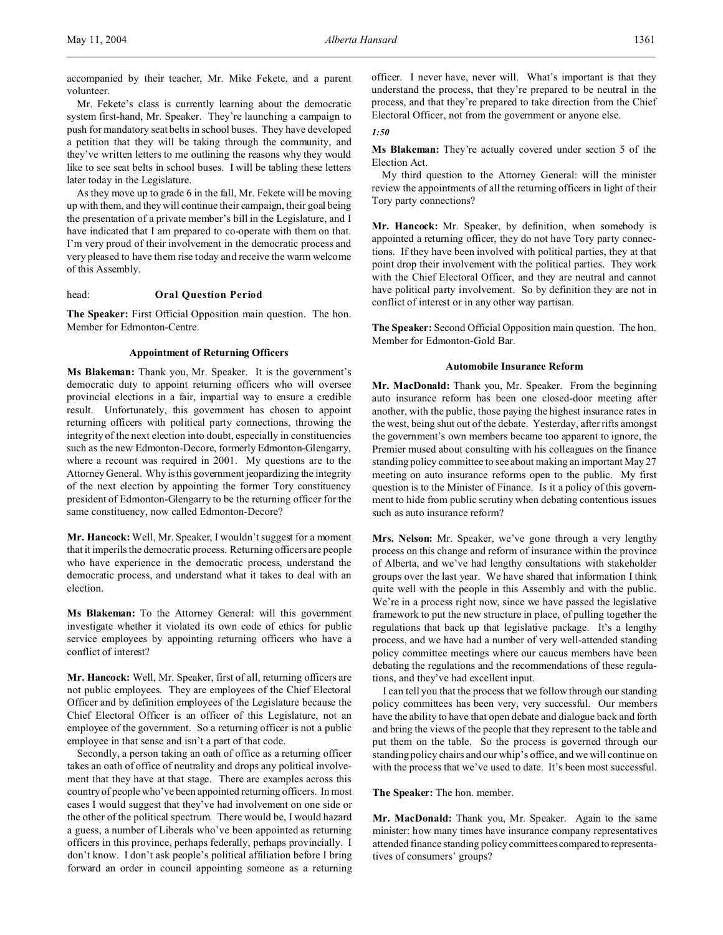accompanied by their teacher, Mr. Mike Fekete, and a parent volunteer.

Mr. Fekete's class is currently learning about the democratic system first-hand, Mr. Speaker. They're launching a campaign to push for mandatory seat belts in school buses. They have developed a petition that they will be taking through the community, and they've written letters to me outlining the reasons why they would like to see seat belts in school buses. I will be tabling these letters later today in the Legislature.

As they move up to grade 6 in the fall, Mr. Fekete will be moving up with them, and they will continue their campaign, their goal being the presentation of a private member's bill in the Legislature, and I have indicated that I am prepared to co-operate with them on that. I'm very proud of their involvement in the democratic process and very pleased to have them rise today and receive the warm welcome of this Assembly.

head: **Oral Question Period**

**The Speaker:** First Official Opposition main question. The hon. Member for Edmonton-Centre.

# **Appointment of Returning Officers**

**Ms Blakeman:** Thank you, Mr. Speaker. It is the government's democratic duty to appoint returning officers who will oversee provincial elections in a fair, impartial way to ensure a credible result. Unfortunately, this government has chosen to appoint returning officers with political party connections, throwing the integrity of the next election into doubt, especially in constituencies such as the new Edmonton-Decore, formerly Edmonton-Glengarry, where a recount was required in 2001. My questions are to the Attorney General. Why is this government jeopardizing the integrity of the next election by appointing the former Tory constituency president of Edmonton-Glengarry to be the returning officer for the same constituency, now called Edmonton-Decore?

**Mr. Hancock:** Well, Mr. Speaker, I wouldn't suggest for a moment that it imperils the democratic process. Returning officers are people who have experience in the democratic process, understand the democratic process, and understand what it takes to deal with an election.

**Ms Blakeman:** To the Attorney General: will this government investigate whether it violated its own code of ethics for public service employees by appointing returning officers who have a conflict of interest?

**Mr. Hancock:** Well, Mr. Speaker, first of all, returning officers are not public employees. They are employees of the Chief Electoral Officer and by definition employees of the Legislature because the Chief Electoral Officer is an officer of this Legislature, not an employee of the government. So a returning officer is not a public employee in that sense and isn't a part of that code.

Secondly, a person taking an oath of office as a returning officer takes an oath of office of neutrality and drops any political involvement that they have at that stage. There are examples across this country of people who've been appointed returning officers. In most cases I would suggest that they've had involvement on one side or the other of the political spectrum. There would be, I would hazard a guess, a number of Liberals who've been appointed as returning officers in this province, perhaps federally, perhaps provincially. I don't know. I don't ask people's political affiliation before I bring forward an order in council appointing someone as a returning officer. I never have, never will. What's important is that they understand the process, that they're prepared to be neutral in the process, and that they're prepared to take direction from the Chief Electoral Officer, not from the government or anyone else.

#### *1:50*

**Ms Blakeman:** They're actually covered under section 5 of the Election Act.

My third question to the Attorney General: will the minister review the appointments of all the returning officers in light of their Tory party connections?

**Mr. Hancock:** Mr. Speaker, by definition, when somebody is appointed a returning officer, they do not have Tory party connections. If they have been involved with political parties, they at that point drop their involvement with the political parties. They work with the Chief Electoral Officer, and they are neutral and cannot have political party involvement. So by definition they are not in conflict of interest or in any other way partisan.

**The Speaker:** Second Official Opposition main question. The hon. Member for Edmonton-Gold Bar.

#### **Automobile Insurance Reform**

**Mr. MacDonald:** Thank you, Mr. Speaker. From the beginning auto insurance reform has been one closed-door meeting after another, with the public, those paying the highest insurance rates in the west, being shut out of the debate. Yesterday, after rifts amongst the government's own members became too apparent to ignore, the Premier mused about consulting with his colleagues on the finance standing policy committee to see about making an important May 27 meeting on auto insurance reforms open to the public. My first question is to the Minister of Finance. Is it a policy of this government to hide from public scrutiny when debating contentious issues such as auto insurance reform?

**Mrs. Nelson:** Mr. Speaker, we've gone through a very lengthy process on this change and reform of insurance within the province of Alberta, and we've had lengthy consultations with stakeholder groups over the last year. We have shared that information I think quite well with the people in this Assembly and with the public. We're in a process right now, since we have passed the legislative framework to put the new structure in place, of pulling together the regulations that back up that legislative package. It's a lengthy process, and we have had a number of very well-attended standing policy committee meetings where our caucus members have been debating the regulations and the recommendations of these regulations, and they've had excellent input.

I can tell you that the process that we follow through our standing policy committees has been very, very successful. Our members have the ability to have that open debate and dialogue back and forth and bring the views of the people that they represent to the table and put them on the table. So the process is governed through our standing policy chairs and our whip's office, and we will continue on with the process that we've used to date. It's been most successful.

**The Speaker:** The hon. member.

**Mr. MacDonald:** Thank you, Mr. Speaker. Again to the same minister: how many times have insurance company representatives attended finance standing policy committees compared to representatives of consumers' groups?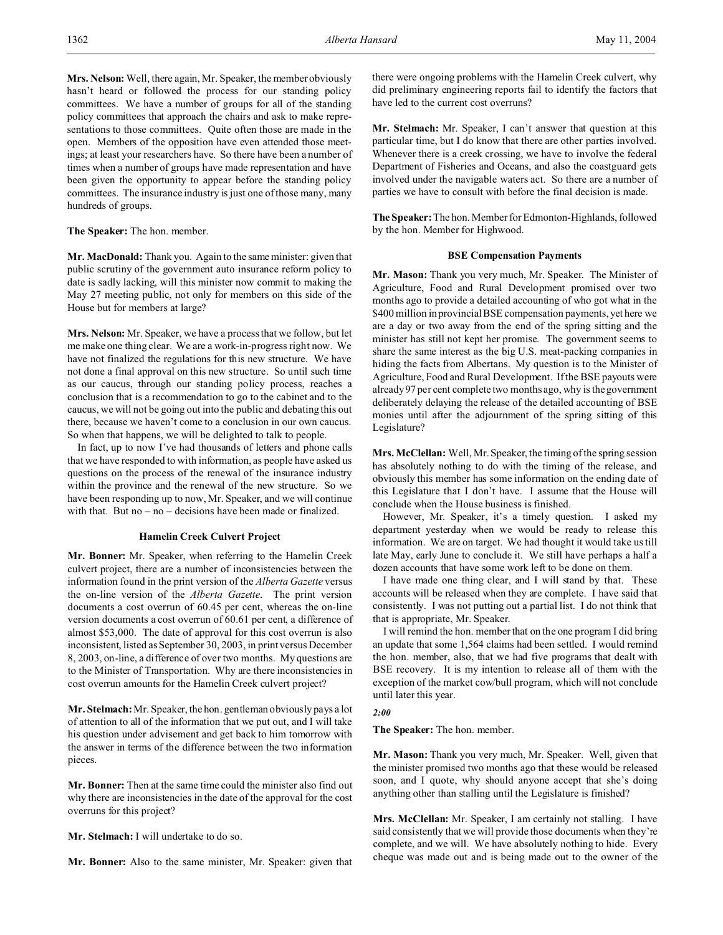**Mrs. Nelson:** Well, there again, Mr. Speaker, the member obviously hasn't heard or followed the process for our standing policy committees. We have a number of groups for all of the standing policy committees that approach the chairs and ask to make representations to those committees. Quite often those are made in the open. Members of the opposition have even attended those meetings; at least your researchers have. So there have been a number of times when a number of groups have made representation and have been given the opportunity to appear before the standing policy committees. The insurance industry is just one of those many, many hundreds of groups.

# **The Speaker:** The hon. member.

**Mr. MacDonald:** Thank you. Again to the same minister: given that public scrutiny of the government auto insurance reform policy to date is sadly lacking, will this minister now commit to making the May 27 meeting public, not only for members on this side of the House but for members at large?

**Mrs. Nelson:** Mr. Speaker, we have a process that we follow, but let me make one thing clear. We are a work-in-progress right now. We have not finalized the regulations for this new structure. We have not done a final approval on this new structure. So until such time as our caucus, through our standing policy process, reaches a conclusion that is a recommendation to go to the cabinet and to the caucus, we will not be going out into the public and debating this out there, because we haven't come to a conclusion in our own caucus. So when that happens, we will be delighted to talk to people.

In fact, up to now I've had thousands of letters and phone calls that we have responded to with information, as people have asked us questions on the process of the renewal of the insurance industry within the province and the renewal of the new structure. So we have been responding up to now, Mr. Speaker, and we will continue with that. But  $no - no - decisions$  have been made or finalized.

### **Hamelin Creek Culvert Project**

**Mr. Bonner:** Mr. Speaker, when referring to the Hamelin Creek culvert project, there are a number of inconsistencies between the information found in the print version of the *Alberta Gazette* versus the on-line version of the *Alberta Gazette*. The print version documents a cost overrun of 60.45 per cent, whereas the on-line version documents a cost overrun of 60.61 per cent, a difference of almost \$53,000. The date of approval for this cost overrun is also inconsistent, listed as September 30, 2003, in print versus December 8, 2003, on-line, a difference of over two months. My questions are to the Minister of Transportation. Why are there inconsistencies in cost overrun amounts for the Hamelin Creek culvert project?

**Mr. Stelmach:** Mr. Speaker, the hon. gentleman obviously pays a lot of attention to all of the information that we put out, and I will take his question under advisement and get back to him tomorrow with the answer in terms of the difference between the two information pieces.

**Mr. Bonner:** Then at the same time could the minister also find out why there are inconsistencies in the date of the approval for the cost overruns for this project?

**Mr. Stelmach:** I will undertake to do so.

**Mr. Bonner:** Also to the same minister, Mr. Speaker: given that

there were ongoing problems with the Hamelin Creek culvert, why did preliminary engineering reports fail to identify the factors that have led to the current cost overruns?

**Mr. Stelmach:** Mr. Speaker, I can't answer that question at this particular time, but I do know that there are other parties involved. Whenever there is a creek crossing, we have to involve the federal Department of Fisheries and Oceans, and also the coastguard gets involved under the navigable waters act. So there are a number of parties we have to consult with before the final decision is made.

**The Speaker:** The hon. Member for Edmonton-Highlands, followed by the hon. Member for Highwood.

#### **BSE Compensation Payments**

**Mr. Mason:** Thank you very much, Mr. Speaker. The Minister of Agriculture, Food and Rural Development promised over two months ago to provide a detailed accounting of who got what in the \$400 million in provincial BSE compensation payments, yet here we are a day or two away from the end of the spring sitting and the minister has still not kept her promise. The government seems to share the same interest as the big U.S. meat-packing companies in hiding the facts from Albertans. My question is to the Minister of Agriculture, Food and Rural Development. If the BSE payouts were already 97 per cent complete two months ago, why is the government deliberately delaying the release of the detailed accounting of BSE monies until after the adjournment of the spring sitting of this Legislature?

**Mrs. McClellan:** Well, Mr. Speaker, the timing of the spring session has absolutely nothing to do with the timing of the release, and obviously this member has some information on the ending date of this Legislature that I don't have. I assume that the House will conclude when the House business is finished.

However, Mr. Speaker, it's a timely question. I asked my department yesterday when we would be ready to release this information. We are on target. We had thought it would take us till late May, early June to conclude it. We still have perhaps a half a dozen accounts that have some work left to be done on them.

I have made one thing clear, and I will stand by that. These accounts will be released when they are complete. I have said that consistently. I was not putting out a partial list. I do not think that that is appropriate, Mr. Speaker.

I will remind the hon. member that on the one program I did bring an update that some 1,564 claims had been settled. I would remind the hon. member, also, that we had five programs that dealt with BSE recovery. It is my intention to release all of them with the exception of the market cow/bull program, which will not conclude until later this year.

# *2:00*

**The Speaker:** The hon. member.

**Mr. Mason:** Thank you very much, Mr. Speaker. Well, given that the minister promised two months ago that these would be released soon, and I quote, why should anyone accept that she's doing anything other than stalling until the Legislature is finished?

**Mrs. McClellan:** Mr. Speaker, I am certainly not stalling. I have said consistently that we will provide those documents when they're complete, and we will. We have absolutely nothing to hide. Every cheque was made out and is being made out to the owner of the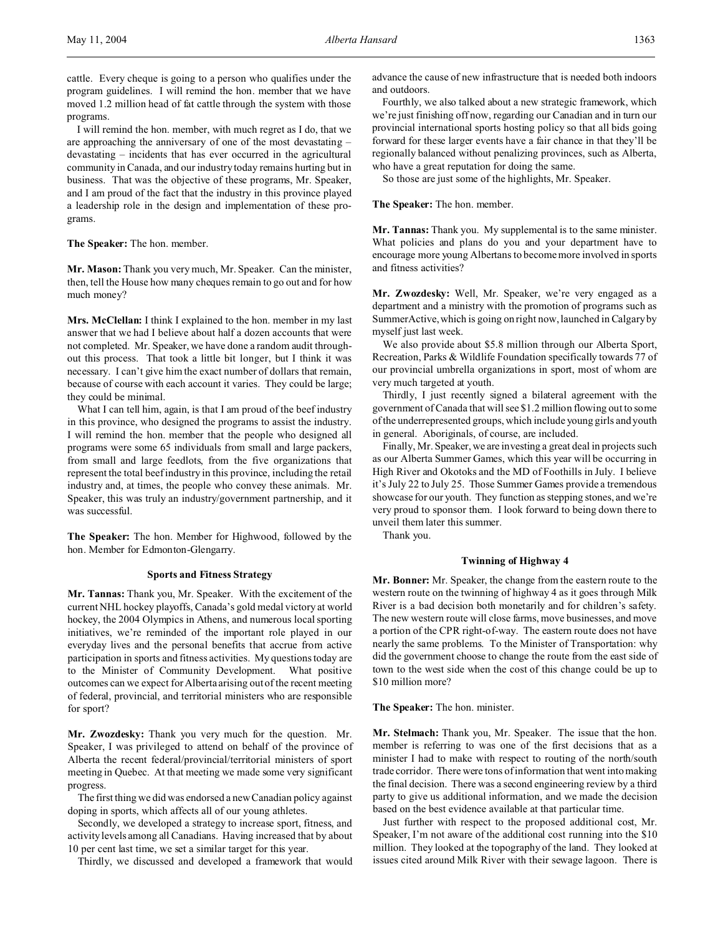cattle. Every cheque is going to a person who qualifies under the program guidelines. I will remind the hon. member that we have moved 1.2 million head of fat cattle through the system with those programs.

I will remind the hon. member, with much regret as I do, that we are approaching the anniversary of one of the most devastating – devastating – incidents that has ever occurred in the agricultural community in Canada, and our industry today remains hurting but in business. That was the objective of these programs, Mr. Speaker, and I am proud of the fact that the industry in this province played a leadership role in the design and implementation of these programs.

**The Speaker:** The hon. member.

**Mr. Mason:** Thank you very much, Mr. Speaker. Can the minister, then, tell the House how many cheques remain to go out and for how much money?

**Mrs. McClellan:** I think I explained to the hon. member in my last answer that we had I believe about half a dozen accounts that were not completed. Mr. Speaker, we have done a random audit throughout this process. That took a little bit longer, but I think it was necessary. I can't give him the exact number of dollars that remain, because of course with each account it varies. They could be large; they could be minimal.

What I can tell him, again, is that I am proud of the beef industry in this province, who designed the programs to assist the industry. I will remind the hon. member that the people who designed all programs were some 65 individuals from small and large packers, from small and large feedlots, from the five organizations that represent the total beef industry in this province, including the retail industry and, at times, the people who convey these animals. Mr. Speaker, this was truly an industry/government partnership, and it was successful.

**The Speaker:** The hon. Member for Highwood, followed by the hon. Member for Edmonton-Glengarry.

#### **Sports and Fitness Strategy**

**Mr. Tannas:** Thank you, Mr. Speaker. With the excitement of the current NHL hockey playoffs, Canada's gold medal victory at world hockey, the 2004 Olympics in Athens, and numerous local sporting initiatives, we're reminded of the important role played in our everyday lives and the personal benefits that accrue from active participation in sports and fitness activities. My questions today are to the Minister of Community Development. What positive outcomes can we expect for Alberta arising out of the recent meeting of federal, provincial, and territorial ministers who are responsible for sport?

**Mr. Zwozdesky:** Thank you very much for the question. Mr. Speaker, I was privileged to attend on behalf of the province of Alberta the recent federal/provincial/territorial ministers of sport meeting in Quebec. At that meeting we made some very significant progress.

The first thing we did was endorsed a new Canadian policy against doping in sports, which affects all of our young athletes.

Secondly, we developed a strategy to increase sport, fitness, and activity levels among all Canadians. Having increased that by about 10 per cent last time, we set a similar target for this year.

Thirdly, we discussed and developed a framework that would

advance the cause of new infrastructure that is needed both indoors and outdoors.

Fourthly, we also talked about a new strategic framework, which we're just finishing off now, regarding our Canadian and in turn our provincial international sports hosting policy so that all bids going forward for these larger events have a fair chance in that they'll be regionally balanced without penalizing provinces, such as Alberta, who have a great reputation for doing the same.

So those are just some of the highlights, Mr. Speaker.

#### **The Speaker:** The hon. member.

**Mr. Tannas:** Thank you. My supplemental is to the same minister. What policies and plans do you and your department have to encourage more young Albertans to become more involved in sports and fitness activities?

**Mr. Zwozdesky:** Well, Mr. Speaker, we're very engaged as a department and a ministry with the promotion of programs such as SummerActive, which is going on right now, launched in Calgary by myself just last week.

We also provide about \$5.8 million through our Alberta Sport, Recreation, Parks & Wildlife Foundation specifically towards 77 of our provincial umbrella organizations in sport, most of whom are very much targeted at youth.

Thirdly, I just recently signed a bilateral agreement with the government of Canada that will see \$1.2 million flowing out to some of the underrepresented groups, which include young girls and youth in general. Aboriginals, of course, are included.

Finally, Mr. Speaker, we are investing a great deal in projects such as our Alberta Summer Games, which this year will be occurring in High River and Okotoks and the MD of Foothills in July. I believe it's July 22 to July 25. Those Summer Games provide a tremendous showcase for our youth. They function as stepping stones, and we're very proud to sponsor them. I look forward to being down there to unveil them later this summer.

Thank you.

#### **Twinning of Highway 4**

**Mr. Bonner:** Mr. Speaker, the change from the eastern route to the western route on the twinning of highway 4 as it goes through Milk River is a bad decision both monetarily and for children's safety. The new western route will close farms, move businesses, and move a portion of the CPR right-of-way. The eastern route does not have nearly the same problems. To the Minister of Transportation: why did the government choose to change the route from the east side of town to the west side when the cost of this change could be up to \$10 million more?

**The Speaker:** The hon. minister.

**Mr. Stelmach:** Thank you, Mr. Speaker. The issue that the hon. member is referring to was one of the first decisions that as a minister I had to make with respect to routing of the north/south trade corridor. There were tons of information that went into making the final decision. There was a second engineering review by a third party to give us additional information, and we made the decision based on the best evidence available at that particular time.

Just further with respect to the proposed additional cost, Mr. Speaker, I'm not aware of the additional cost running into the \$10 million. They looked at the topography of the land. They looked at issues cited around Milk River with their sewage lagoon. There is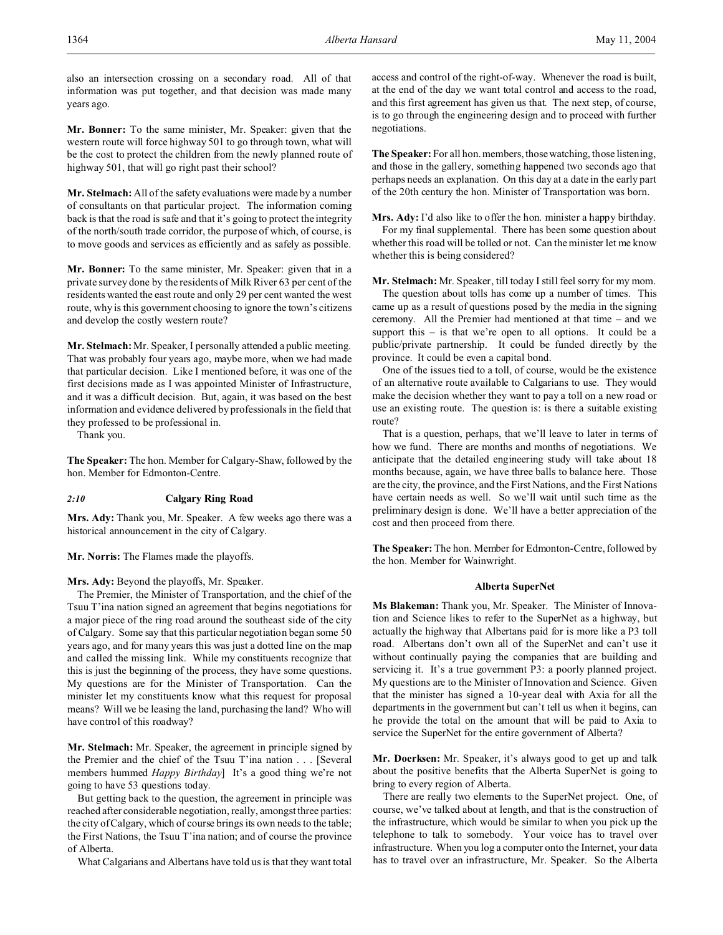also an intersection crossing on a secondary road. All of that information was put together, and that decision was made many years ago.

**Mr. Bonner:** To the same minister, Mr. Speaker: given that the western route will force highway 501 to go through town, what will be the cost to protect the children from the newly planned route of highway 501, that will go right past their school?

**Mr. Stelmach:** All of the safety evaluations were made by a number of consultants on that particular project. The information coming back is that the road is safe and that it's going to protect the integrity of the north/south trade corridor, the purpose of which, of course, is to move goods and services as efficiently and as safely as possible.

**Mr. Bonner:** To the same minister, Mr. Speaker: given that in a private survey done by the residents of Milk River 63 per cent of the residents wanted the east route and only 29 per cent wanted the west route, why is this government choosing to ignore the town's citizens and develop the costly western route?

**Mr. Stelmach:** Mr. Speaker, I personally attended a public meeting. That was probably four years ago, maybe more, when we had made that particular decision. Like I mentioned before, it was one of the first decisions made as I was appointed Minister of Infrastructure, and it was a difficult decision. But, again, it was based on the best information and evidence delivered by professionals in the field that they professed to be professional in.

Thank you.

**The Speaker:** The hon. Member for Calgary-Shaw, followed by the hon. Member for Edmonton-Centre.

# *2:10* **Calgary Ring Road**

**Mrs. Ady:** Thank you, Mr. Speaker. A few weeks ago there was a historical announcement in the city of Calgary.

**Mr. Norris:** The Flames made the playoffs.

## **Mrs. Ady:** Beyond the playoffs, Mr. Speaker.

The Premier, the Minister of Transportation, and the chief of the Tsuu T'ina nation signed an agreement that begins negotiations for a major piece of the ring road around the southeast side of the city of Calgary. Some say that this particular negotiation began some 50 years ago, and for many years this was just a dotted line on the map and called the missing link. While my constituents recognize that this is just the beginning of the process, they have some questions. My questions are for the Minister of Transportation. Can the minister let my constituents know what this request for proposal means? Will we be leasing the land, purchasing the land? Who will have control of this roadway?

**Mr. Stelmach:** Mr. Speaker, the agreement in principle signed by the Premier and the chief of the Tsuu T'ina nation . . . [Several members hummed *Happy Birthday*] It's a good thing we're not going to have 53 questions today.

But getting back to the question, the agreement in principle was reached after considerable negotiation, really, amongst three parties: the city of Calgary, which of course brings its own needs to the table; the First Nations, the Tsuu T'ina nation; and of course the province of Alberta.

What Calgarians and Albertans have told us is that they want total

access and control of the right-of-way. Whenever the road is built, at the end of the day we want total control and access to the road, and this first agreement has given us that. The next step, of course, is to go through the engineering design and to proceed with further negotiations.

**The Speaker:** For all hon. members, those watching, those listening, and those in the gallery, something happened two seconds ago that perhaps needs an explanation. On this day at a date in the early part of the 20th century the hon. Minister of Transportation was born.

**Mrs. Ady:** I'd also like to offer the hon. minister a happy birthday. For my final supplemental. There has been some question about whether this road will be tolled or not. Can the minister let me know whether this is being considered?

**Mr. Stelmach:** Mr. Speaker, till today I still feel sorry for my mom.

The question about tolls has come up a number of times. This came up as a result of questions posed by the media in the signing ceremony. All the Premier had mentioned at that time – and we support this – is that we're open to all options. It could be a public/private partnership. It could be funded directly by the province. It could be even a capital bond.

One of the issues tied to a toll, of course, would be the existence of an alternative route available to Calgarians to use. They would make the decision whether they want to pay a toll on a new road or use an existing route. The question is: is there a suitable existing route?

That is a question, perhaps, that we'll leave to later in terms of how we fund. There are months and months of negotiations. We anticipate that the detailed engineering study will take about 18 months because, again, we have three balls to balance here. Those are the city, the province, and the First Nations, and the First Nations have certain needs as well. So we'll wait until such time as the preliminary design is done. We'll have a better appreciation of the cost and then proceed from there.

**The Speaker:** The hon. Member for Edmonton-Centre, followed by the hon. Member for Wainwright.

# **Alberta SuperNet**

**Ms Blakeman:** Thank you, Mr. Speaker. The Minister of Innovation and Science likes to refer to the SuperNet as a highway, but actually the highway that Albertans paid for is more like a P3 toll road. Albertans don't own all of the SuperNet and can't use it without continually paying the companies that are building and servicing it. It's a true government P3: a poorly planned project. My questions are to the Minister of Innovation and Science. Given that the minister has signed a 10-year deal with Axia for all the departments in the government but can't tell us when it begins, can he provide the total on the amount that will be paid to Axia to service the SuperNet for the entire government of Alberta?

**Mr. Doerksen:** Mr. Speaker, it's always good to get up and talk about the positive benefits that the Alberta SuperNet is going to bring to every region of Alberta.

There are really two elements to the SuperNet project. One, of course, we've talked about at length, and that is the construction of the infrastructure, which would be similar to when you pick up the telephone to talk to somebody. Your voice has to travel over infrastructure. When you log a computer onto the Internet, your data has to travel over an infrastructure, Mr. Speaker. So the Alberta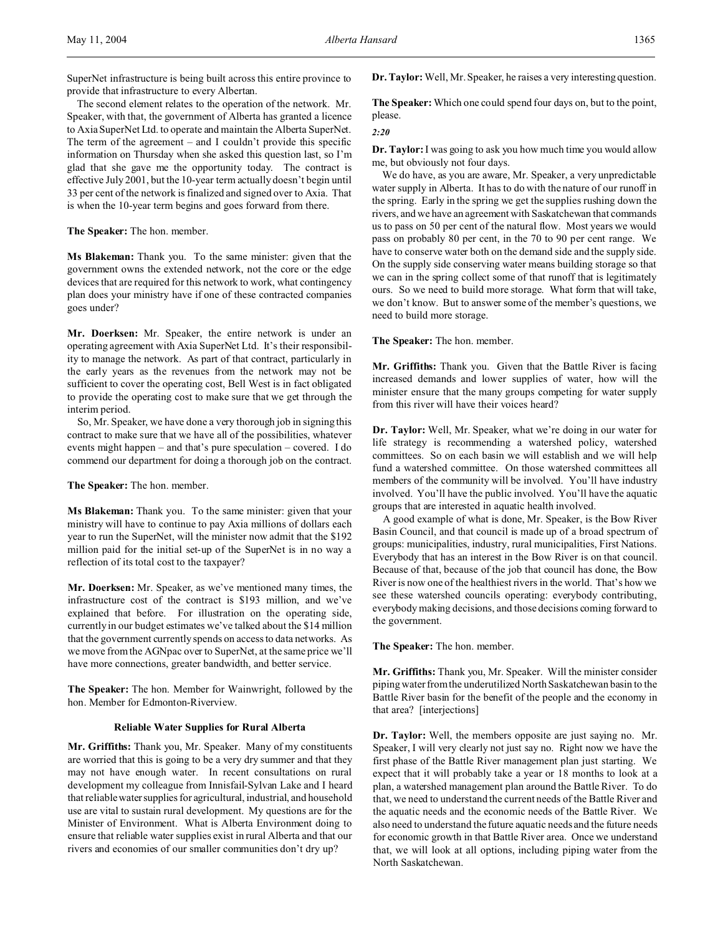SuperNet infrastructure is being built across this entire province to provide that infrastructure to every Albertan.

The second element relates to the operation of the network. Mr. Speaker, with that, the government of Alberta has granted a licence to Axia SuperNet Ltd. to operate and maintain the Alberta SuperNet. The term of the agreement – and I couldn't provide this specific information on Thursday when she asked this question last, so I'm glad that she gave me the opportunity today. The contract is effective July 2001, but the 10-year term actually doesn't begin until 33 per cent of the network is finalized and signed over to Axia. That is when the 10-year term begins and goes forward from there.

**The Speaker:** The hon. member.

**Ms Blakeman:** Thank you. To the same minister: given that the government owns the extended network, not the core or the edge devices that are required for this network to work, what contingency plan does your ministry have if one of these contracted companies goes under?

**Mr. Doerksen:** Mr. Speaker, the entire network is under an operating agreement with Axia SuperNet Ltd. It's their responsibility to manage the network. As part of that contract, particularly in the early years as the revenues from the network may not be sufficient to cover the operating cost, Bell West is in fact obligated to provide the operating cost to make sure that we get through the interim period.

So, Mr. Speaker, we have done a very thorough job in signing this contract to make sure that we have all of the possibilities, whatever events might happen – and that's pure speculation – covered. I do commend our department for doing a thorough job on the contract.

**The Speaker:** The hon. member.

**Ms Blakeman:** Thank you. To the same minister: given that your ministry will have to continue to pay Axia millions of dollars each year to run the SuperNet, will the minister now admit that the \$192 million paid for the initial set-up of the SuperNet is in no way a reflection of its total cost to the taxpayer?

**Mr. Doerksen:** Mr. Speaker, as we've mentioned many times, the infrastructure cost of the contract is \$193 million, and we've explained that before. For illustration on the operating side, currently in our budget estimates we've talked about the \$14 million that the government currently spends on access to data networks. As we move from the AGNpac over to SuperNet, at the same price we'll have more connections, greater bandwidth, and better service.

**The Speaker:** The hon. Member for Wainwright, followed by the hon. Member for Edmonton-Riverview.

# **Reliable Water Supplies for Rural Alberta**

**Mr. Griffiths:** Thank you, Mr. Speaker. Many of my constituents are worried that this is going to be a very dry summer and that they may not have enough water. In recent consultations on rural development my colleague from Innisfail-Sylvan Lake and I heard that reliable water supplies for agricultural, industrial, and household use are vital to sustain rural development. My questions are for the Minister of Environment. What is Alberta Environment doing to ensure that reliable water supplies exist in rural Alberta and that our rivers and economies of our smaller communities don't dry up?

**Dr. Taylor:** Well, Mr. Speaker, he raises a very interesting question.

**The Speaker:** Which one could spend four days on, but to the point, please.

#### *2:20*

**Dr. Taylor:**I was going to ask you how much time you would allow me, but obviously not four days.

We do have, as you are aware, Mr. Speaker, a very unpredictable water supply in Alberta. It has to do with the nature of our runoff in the spring. Early in the spring we get the supplies rushing down the rivers, and we have an agreement with Saskatchewan that commands us to pass on 50 per cent of the natural flow. Most years we would pass on probably 80 per cent, in the 70 to 90 per cent range. We have to conserve water both on the demand side and the supply side. On the supply side conserving water means building storage so that we can in the spring collect some of that runoff that is legitimately ours. So we need to build more storage. What form that will take, we don't know. But to answer some of the member's questions, we need to build more storage.

**The Speaker:** The hon. member.

**Mr. Griffiths:** Thank you. Given that the Battle River is facing increased demands and lower supplies of water, how will the minister ensure that the many groups competing for water supply from this river will have their voices heard?

**Dr. Taylor:** Well, Mr. Speaker, what we're doing in our water for life strategy is recommending a watershed policy, watershed committees. So on each basin we will establish and we will help fund a watershed committee. On those watershed committees all members of the community will be involved. You'll have industry involved. You'll have the public involved. You'll have the aquatic groups that are interested in aquatic health involved.

A good example of what is done, Mr. Speaker, is the Bow River Basin Council, and that council is made up of a broad spectrum of groups: municipalities, industry, rural municipalities, First Nations. Everybody that has an interest in the Bow River is on that council. Because of that, because of the job that council has done, the Bow River is now one of the healthiest rivers in the world. That's how we see these watershed councils operating: everybody contributing, everybody making decisions, and those decisions coming forward to the government.

**The Speaker:** The hon. member.

**Mr. Griffiths:** Thank you, Mr. Speaker. Will the minister consider piping water from the underutilized North Saskatchewan basin to the Battle River basin for the benefit of the people and the economy in that area? [interjections]

**Dr. Taylor:** Well, the members opposite are just saying no. Mr. Speaker, I will very clearly not just say no. Right now we have the first phase of the Battle River management plan just starting. We expect that it will probably take a year or 18 months to look at a plan, a watershed management plan around the Battle River. To do that, we need to understand the current needs of the Battle River and the aquatic needs and the economic needs of the Battle River. We also need to understand the future aquatic needs and the future needs for economic growth in that Battle River area. Once we understand that, we will look at all options, including piping water from the North Saskatchewan.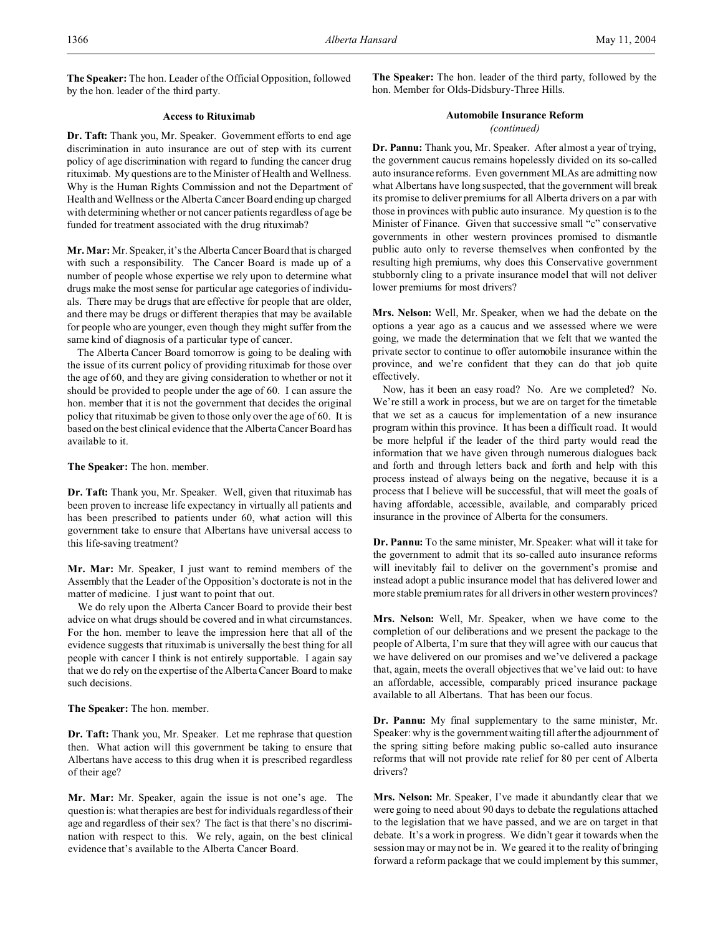**The Speaker:** The hon. Leader of the Official Opposition, followed by the hon. leader of the third party.

# **Access to Rituximab**

**Dr. Taft:** Thank you, Mr. Speaker. Government efforts to end age discrimination in auto insurance are out of step with its current policy of age discrimination with regard to funding the cancer drug rituximab. My questions are to the Minister of Health and Wellness. Why is the Human Rights Commission and not the Department of Health and Wellness or the Alberta Cancer Board ending up charged with determining whether or not cancer patients regardless of age be funded for treatment associated with the drug rituximab?

**Mr. Mar:** Mr. Speaker, it's the Alberta Cancer Board that is charged with such a responsibility. The Cancer Board is made up of a number of people whose expertise we rely upon to determine what drugs make the most sense for particular age categories of individuals. There may be drugs that are effective for people that are older, and there may be drugs or different therapies that may be available for people who are younger, even though they might suffer from the same kind of diagnosis of a particular type of cancer.

The Alberta Cancer Board tomorrow is going to be dealing with the issue of its current policy of providing rituximab for those over the age of 60, and they are giving consideration to whether or not it should be provided to people under the age of 60. I can assure the hon. member that it is not the government that decides the original policy that rituximab be given to those only over the age of 60. It is based on the best clinical evidence that the Alberta Cancer Board has available to it.

**The Speaker:** The hon. member.

**Dr. Taft:** Thank you, Mr. Speaker. Well, given that rituximab has been proven to increase life expectancy in virtually all patients and has been prescribed to patients under 60, what action will this government take to ensure that Albertans have universal access to this life-saving treatment?

**Mr. Mar:** Mr. Speaker, I just want to remind members of the Assembly that the Leader of the Opposition's doctorate is not in the matter of medicine. I just want to point that out.

We do rely upon the Alberta Cancer Board to provide their best advice on what drugs should be covered and in what circumstances. For the hon. member to leave the impression here that all of the evidence suggests that rituximab is universally the best thing for all people with cancer I think is not entirely supportable. I again say that we do rely on the expertise of the Alberta Cancer Board to make such decisions.

**The Speaker:** The hon. member.

**Dr. Taft:** Thank you, Mr. Speaker. Let me rephrase that question then. What action will this government be taking to ensure that Albertans have access to this drug when it is prescribed regardless of their age?

**Mr. Mar:** Mr. Speaker, again the issue is not one's age. The question is: what therapies are best for individuals regardless of their age and regardless of their sex? The fact is that there's no discrimination with respect to this. We rely, again, on the best clinical evidence that's available to the Alberta Cancer Board.

**The Speaker:** The hon. leader of the third party, followed by the hon. Member for Olds-Didsbury-Three Hills.

### **Automobile Insurance Reform** *(continued)*

**Dr. Pannu:** Thank you, Mr. Speaker. After almost a year of trying, the government caucus remains hopelessly divided on its so-called auto insurance reforms. Even government MLAs are admitting now what Albertans have long suspected, that the government will break its promise to deliver premiums for all Alberta drivers on a par with those in provinces with public auto insurance. My question is to the Minister of Finance. Given that successive small "c" conservative governments in other western provinces promised to dismantle public auto only to reverse themselves when confronted by the resulting high premiums, why does this Conservative government stubbornly cling to a private insurance model that will not deliver lower premiums for most drivers?

**Mrs. Nelson:** Well, Mr. Speaker, when we had the debate on the options a year ago as a caucus and we assessed where we were going, we made the determination that we felt that we wanted the private sector to continue to offer automobile insurance within the province, and we're confident that they can do that job quite effectively.

Now, has it been an easy road? No. Are we completed? No. We're still a work in process, but we are on target for the timetable that we set as a caucus for implementation of a new insurance program within this province. It has been a difficult road. It would be more helpful if the leader of the third party would read the information that we have given through numerous dialogues back and forth and through letters back and forth and help with this process instead of always being on the negative, because it is a process that I believe will be successful, that will meet the goals of having affordable, accessible, available, and comparably priced insurance in the province of Alberta for the consumers.

**Dr. Pannu:** To the same minister, Mr. Speaker: what will it take for the government to admit that its so-called auto insurance reforms will inevitably fail to deliver on the government's promise and instead adopt a public insurance model that has delivered lower and more stable premium rates for all drivers in other western provinces?

**Mrs. Nelson:** Well, Mr. Speaker, when we have come to the completion of our deliberations and we present the package to the people of Alberta, I'm sure that they will agree with our caucus that we have delivered on our promises and we've delivered a package that, again, meets the overall objectives that we've laid out: to have an affordable, accessible, comparably priced insurance package available to all Albertans. That has been our focus.

**Dr. Pannu:** My final supplementary to the same minister, Mr. Speaker: why is the government waiting till after the adjournment of the spring sitting before making public so-called auto insurance reforms that will not provide rate relief for 80 per cent of Alberta drivers?

**Mrs. Nelson:** Mr. Speaker, I've made it abundantly clear that we were going to need about 90 days to debate the regulations attached to the legislation that we have passed, and we are on target in that debate. It's a work in progress. We didn't gear it towards when the session may or may not be in. We geared it to the reality of bringing forward a reform package that we could implement by this summer,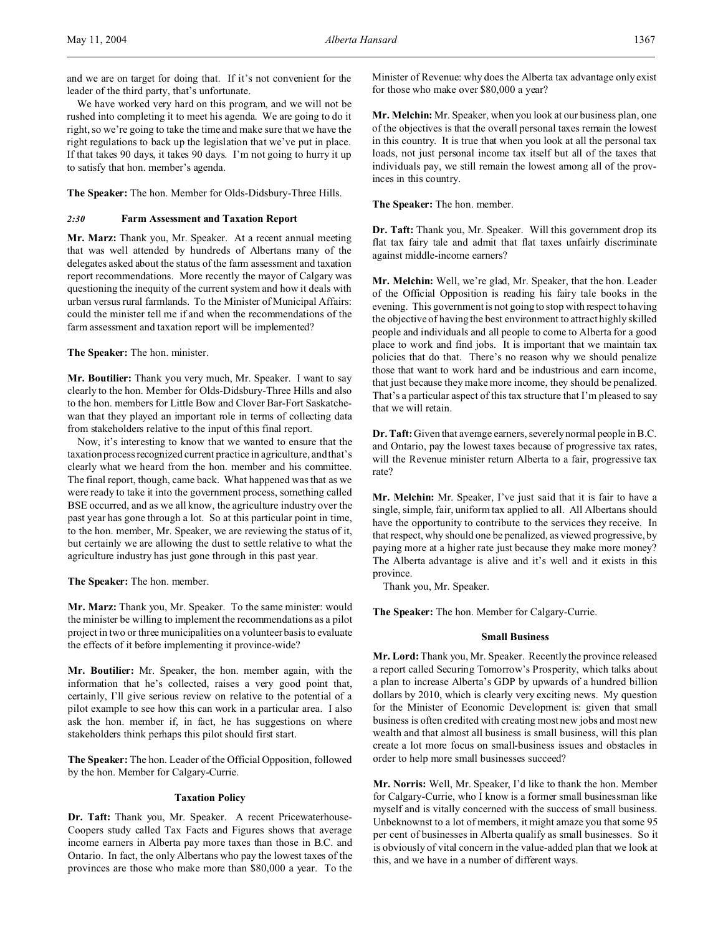and we are on target for doing that. If it's not convenient for the leader of the third party, that's unfortunate.

We have worked very hard on this program, and we will not be rushed into completing it to meet his agenda. We are going to do it right, so we're going to take the time and make sure that we have the right regulations to back up the legislation that we've put in place. If that takes 90 days, it takes 90 days. I'm not going to hurry it up to satisfy that hon. member's agenda.

**The Speaker:** The hon. Member for Olds-Didsbury-Three Hills.

# *2:30* **Farm Assessment and Taxation Report**

**Mr. Marz:** Thank you, Mr. Speaker. At a recent annual meeting that was well attended by hundreds of Albertans many of the delegates asked about the status of the farm assessment and taxation report recommendations. More recently the mayor of Calgary was questioning the inequity of the current system and how it deals with urban versus rural farmlands. To the Minister of Municipal Affairs: could the minister tell me if and when the recommendations of the farm assessment and taxation report will be implemented?

**The Speaker:** The hon. minister.

**Mr. Boutilier:** Thank you very much, Mr. Speaker. I want to say clearly to the hon. Member for Olds-Didsbury-Three Hills and also to the hon. members for Little Bow and Clover Bar-Fort Saskatchewan that they played an important role in terms of collecting data from stakeholders relative to the input of this final report.

Now, it's interesting to know that we wanted to ensure that the taxation process recognized current practice in agriculture, and that's clearly what we heard from the hon. member and his committee. The final report, though, came back. What happened was that as we were ready to take it into the government process, something called BSE occurred, and as we all know, the agriculture industry over the past year has gone through a lot. So at this particular point in time, to the hon. member, Mr. Speaker, we are reviewing the status of it, but certainly we are allowing the dust to settle relative to what the agriculture industry has just gone through in this past year.

**The Speaker:** The hon. member.

**Mr. Marz:** Thank you, Mr. Speaker. To the same minister: would the minister be willing to implement the recommendations as a pilot project in two or three municipalities on a volunteer basis to evaluate the effects of it before implementing it province-wide?

**Mr. Boutilier:** Mr. Speaker, the hon. member again, with the information that he's collected, raises a very good point that, certainly, I'll give serious review on relative to the potential of a pilot example to see how this can work in a particular area. I also ask the hon. member if, in fact, he has suggestions on where stakeholders think perhaps this pilot should first start.

**The Speaker:** The hon. Leader of the Official Opposition, followed by the hon. Member for Calgary-Currie.

#### **Taxation Policy**

**Dr. Taft:** Thank you, Mr. Speaker. A recent Pricewaterhouse-Coopers study called Tax Facts and Figures shows that average income earners in Alberta pay more taxes than those in B.C. and Ontario. In fact, the only Albertans who pay the lowest taxes of the provinces are those who make more than \$80,000 a year. To the

Minister of Revenue: why does the Alberta tax advantage only exist for those who make over \$80,000 a year?

**Mr. Melchin:** Mr. Speaker, when you look at our business plan, one of the objectives is that the overall personal taxes remain the lowest in this country. It is true that when you look at all the personal tax loads, not just personal income tax itself but all of the taxes that individuals pay, we still remain the lowest among all of the provinces in this country.

**The Speaker:** The hon. member.

**Dr. Taft:** Thank you, Mr. Speaker. Will this government drop its flat tax fairy tale and admit that flat taxes unfairly discriminate against middle-income earners?

**Mr. Melchin:** Well, we're glad, Mr. Speaker, that the hon. Leader of the Official Opposition is reading his fairy tale books in the evening. This government is not going to stop with respect to having the objective of having the best environment to attract highly skilled people and individuals and all people to come to Alberta for a good place to work and find jobs. It is important that we maintain tax policies that do that. There's no reason why we should penalize those that want to work hard and be industrious and earn income, that just because they make more income, they should be penalized. That's a particular aspect of this tax structure that I'm pleased to say that we will retain.

**Dr. Taft:** Given that average earners, severely normal people in B.C. and Ontario, pay the lowest taxes because of progressive tax rates, will the Revenue minister return Alberta to a fair, progressive tax rate?

**Mr. Melchin:** Mr. Speaker, I've just said that it is fair to have a single, simple, fair, uniform tax applied to all. All Albertans should have the opportunity to contribute to the services they receive. In that respect, why should one be penalized, as viewed progressive, by paying more at a higher rate just because they make more money? The Alberta advantage is alive and it's well and it exists in this province.

Thank you, Mr. Speaker.

**The Speaker:** The hon. Member for Calgary-Currie.

### **Small Business**

**Mr. Lord:**Thank you, Mr. Speaker. Recently the province released a report called Securing Tomorrow's Prosperity, which talks about a plan to increase Alberta's GDP by upwards of a hundred billion dollars by 2010, which is clearly very exciting news. My question for the Minister of Economic Development is: given that small business is often credited with creating most new jobs and most new wealth and that almost all business is small business, will this plan create a lot more focus on small-business issues and obstacles in order to help more small businesses succeed?

**Mr. Norris:** Well, Mr. Speaker, I'd like to thank the hon. Member for Calgary-Currie, who I know is a former small businessman like myself and is vitally concerned with the success of small business. Unbeknownst to a lot of members, it might amaze you that some 95 per cent of businesses in Alberta qualify as small businesses. So it is obviously of vital concern in the value-added plan that we look at this, and we have in a number of different ways.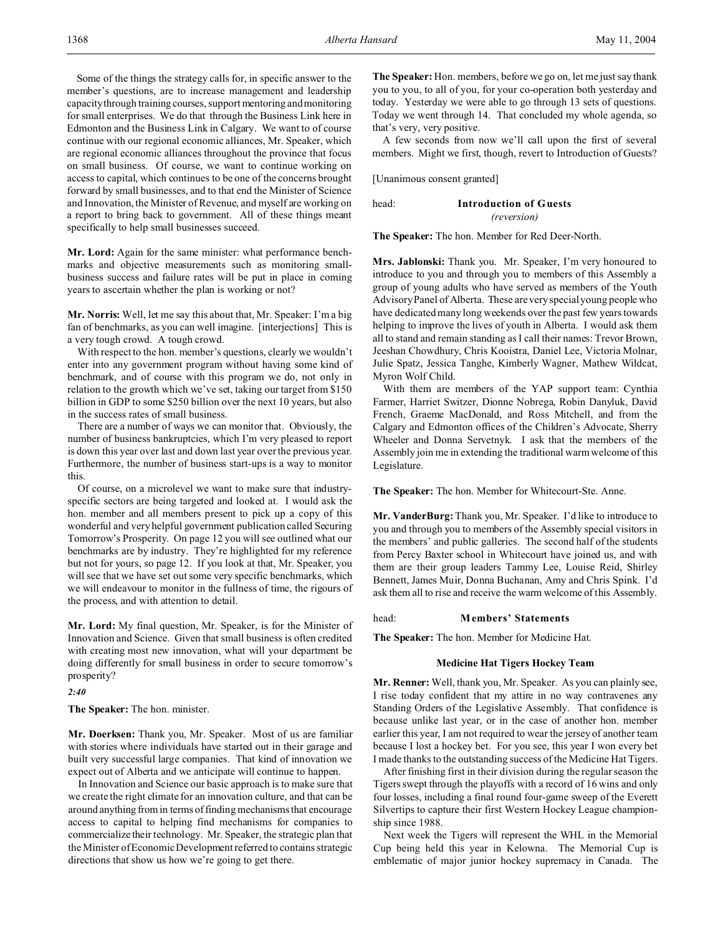Some of the things the strategy calls for, in specific answer to the member's questions, are to increase management and leadership capacity through trainingcourses, support mentoring and monitoring for small enterprises. We do that through the Business Link here in Edmonton and the Business Link in Calgary. We want to of course continue with our regional economic alliances, Mr. Speaker, which are regional economic alliances throughout the province that focus on small business. Of course, we want to continue working on access to capital, which continues to be one of the concerns brought forward by small businesses, and to that end the Minister of Science and Innovation, the Minister of Revenue, and myself are working on a report to bring back to government. All of these things meant specifically to help small businesses succeed.

**Mr. Lord:** Again for the same minister: what performance benchmarks and objective measurements such as monitoring smallbusiness success and failure rates will be put in place in coming years to ascertain whether the plan is working or not?

**Mr. Norris:** Well, let me say this about that, Mr. Speaker: I'm a big fan of benchmarks, as you can well imagine. [interjections] This is a very tough crowd. A tough crowd.

With respect to the hon. member's questions, clearly we wouldn't enter into any government program without having some kind of benchmark, and of course with this program we do, not only in relation to the growth which we've set, taking our target from \$150 billion in GDP to some \$250 billion over the next 10 years, but also in the success rates of small business.

There are a number of ways we can monitor that. Obviously, the number of business bankruptcies, which I'm very pleased to report is down this year over last and down last year over the previous year. Furthermore, the number of business start-ups is a way to monitor this.

Of course, on a microlevel we want to make sure that industryspecific sectors are being targeted and looked at. I would ask the hon. member and all members present to pick up a copy of this wonderful and very helpful government publication called Securing Tomorrow's Prosperity. On page 12 you will see outlined what our benchmarks are by industry. They're highlighted for my reference but not for yours, so page 12. If you look at that, Mr. Speaker, you will see that we have set out some very specific benchmarks, which we will endeavour to monitor in the fullness of time, the rigours of the process, and with attention to detail.

**Mr. Lord:** My final question, Mr. Speaker, is for the Minister of Innovation and Science. Given that small business is often credited with creating most new innovation, what will your department be doing differently for small business in order to secure tomorrow's prosperity?

*2:40*

**The Speaker:** The hon. minister.

**Mr. Doerksen:** Thank you, Mr. Speaker. Most of us are familiar with stories where individuals have started out in their garage and built very successful large companies. That kind of innovation we expect out of Alberta and we anticipate will continue to happen.

In Innovation and Science our basic approach is to make sure that we create the right climate for an innovation culture, and that can be around anything from in terms of finding mechanisms that encourage access to capital to helping find mechanisms for companies to commercialize their technology. Mr. Speaker, the strategic plan that the Minister of Economic Development referred to contains strategic directions that show us how we're going to get there.

**The Speaker:** Hon. members, before we go on, let me just say thank you to you, to all of you, for your co-operation both yesterday and today. Yesterday we were able to go through 13 sets of questions. Today we went through 14. That concluded my whole agenda, so that's very, very positive.

A few seconds from now we'll call upon the first of several members. Might we first, though, revert to Introduction of Guests?

[Unanimous consent granted]

head: **Introduction of Guests** *(reversion)*

**The Speaker:** The hon. Member for Red Deer-North.

**Mrs. Jablonski:** Thank you. Mr. Speaker, I'm very honoured to introduce to you and through you to members of this Assembly a group of young adults who have served as members of the Youth Advisory Panel of Alberta. These are very special young people who have dedicated many long weekends over the past few years towards helping to improve the lives of youth in Alberta. I would ask them all to stand and remain standing as I call their names: Trevor Brown, Jeeshan Chowdhury, Chris Kooistra, Daniel Lee, Victoria Molnar, Julie Spatz, Jessica Tanghe, Kimberly Wagner, Mathew Wildcat, Myron Wolf Child.

With them are members of the YAP support team: Cynthia Farmer, Harriet Switzer, Dionne Nobrega, Robin Danyluk, David French, Graeme MacDonald, and Ross Mitchell, and from the Calgary and Edmonton offices of the Children's Advocate, Sherry Wheeler and Donna Servetnyk. I ask that the members of the Assembly join me in extending the traditional warm welcome of this Legislature.

**The Speaker:** The hon. Member for Whitecourt-Ste. Anne.

**Mr. VanderBurg:** Thank you, Mr. Speaker. I'd like to introduce to you and through you to members of the Assembly special visitors in the members' and public galleries. The second half of the students from Percy Baxter school in Whitecourt have joined us, and with them are their group leaders Tammy Lee, Louise Reid, Shirley Bennett, James Muir, Donna Buchanan, Amy and Chris Spink. I'd ask them all to rise and receive the warm welcome of this Assembly.

#### head: **Members' Statements**

**The Speaker:** The hon. Member for Medicine Hat.

#### **Medicine Hat Tigers Hockey Team**

**Mr. Renner:** Well, thank you, Mr. Speaker. As you can plainly see, I rise today confident that my attire in no way contravenes any Standing Orders of the Legislative Assembly. That confidence is because unlike last year, or in the case of another hon. member earlier this year, I am not required to wear the jersey of another team because I lost a hockey bet. For you see, this year I won every bet I made thanks to the outstanding success of the Medicine Hat Tigers.

After finishing first in their division during the regular season the Tigers swept through the playoffs with a record of 16 wins and only four losses, including a final round four-game sweep of the Everett Silvertips to capture their first Western Hockey League championship since 1988.

Next week the Tigers will represent the WHL in the Memorial Cup being held this year in Kelowna. The Memorial Cup is emblematic of major junior hockey supremacy in Canada. The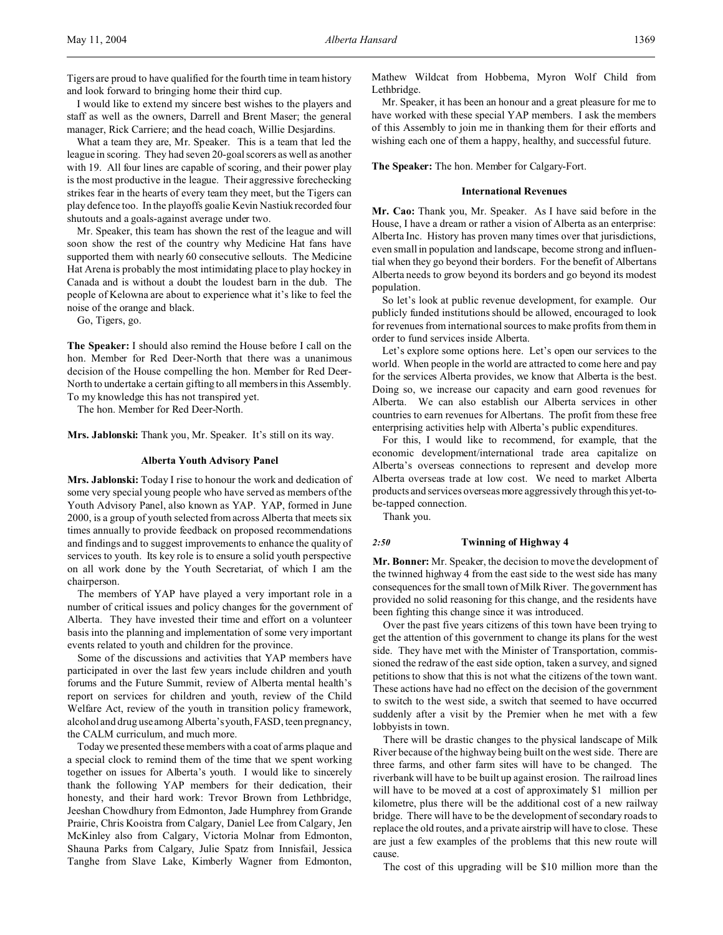I would like to extend my sincere best wishes to the players and staff as well as the owners, Darrell and Brent Maser; the general manager, Rick Carriere; and the head coach, Willie Desjardins.

What a team they are, Mr. Speaker. This is a team that led the league in scoring. They had seven 20-goal scorers as well as another with 19. All four lines are capable of scoring, and their power play is the most productive in the league. Their aggressive forechecking strikes fear in the hearts of every team they meet, but the Tigers can play defence too. In the playoffs goalie Kevin Nastiuk recorded four shutouts and a goals-against average under two.

Mr. Speaker, this team has shown the rest of the league and will soon show the rest of the country why Medicine Hat fans have supported them with nearly 60 consecutive sellouts. The Medicine Hat Arena is probably the most intimidating place to play hockey in Canada and is without a doubt the loudest barn in the dub. The people of Kelowna are about to experience what it's like to feel the noise of the orange and black.

Go, Tigers, go.

**The Speaker:** I should also remind the House before I call on the hon. Member for Red Deer-North that there was a unanimous decision of the House compelling the hon. Member for Red Deer-North to undertake a certain gifting to all members in this Assembly. To my knowledge this has not transpired yet.

The hon. Member for Red Deer-North.

**Mrs. Jablonski:** Thank you, Mr. Speaker. It's still on its way.

#### **Alberta Youth Advisory Panel**

**Mrs. Jablonski:** Today I rise to honour the work and dedication of some very special young people who have served as members of the Youth Advisory Panel, also known as YAP. YAP, formed in June 2000, is a group of youth selected from across Alberta that meets six times annually to provide feedback on proposed recommendations and findings and to suggest improvements to enhance the quality of services to youth. Its key role is to ensure a solid youth perspective on all work done by the Youth Secretariat, of which I am the chairperson.

The members of YAP have played a very important role in a number of critical issues and policy changes for the government of Alberta. They have invested their time and effort on a volunteer basis into the planning and implementation of some very important events related to youth and children for the province.

Some of the discussions and activities that YAP members have participated in over the last few years include children and youth forums and the Future Summit, review of Alberta mental health's report on services for children and youth, review of the Child Welfare Act, review of the youth in transition policy framework, alcohol and drug use among Alberta's youth, FASD, teen pregnancy, the CALM curriculum, and much more.

Today we presented these members with a coat of arms plaque and a special clock to remind them of the time that we spent working together on issues for Alberta's youth. I would like to sincerely thank the following YAP members for their dedication, their honesty, and their hard work: Trevor Brown from Lethbridge, Jeeshan Chowdhury from Edmonton, Jade Humphrey from Grande Prairie, Chris Kooistra from Calgary, Daniel Lee from Calgary, Jen McKinley also from Calgary, Victoria Molnar from Edmonton, Shauna Parks from Calgary, Julie Spatz from Innisfail, Jessica Tanghe from Slave Lake, Kimberly Wagner from Edmonton,

Mathew Wildcat from Hobbema, Myron Wolf Child from Lethbridge.

Mr. Speaker, it has been an honour and a great pleasure for me to have worked with these special YAP members. I ask the members of this Assembly to join me in thanking them for their efforts and wishing each one of them a happy, healthy, and successful future.

**The Speaker:** The hon. Member for Calgary-Fort.

#### **International Revenues**

**Mr. Cao:** Thank you, Mr. Speaker. As I have said before in the House, I have a dream or rather a vision of Alberta as an enterprise: Alberta Inc. History has proven many times over that jurisdictions, even small in population and landscape, become strong and influential when they go beyond their borders. For the benefit of Albertans Alberta needs to grow beyond its borders and go beyond its modest population.

So let's look at public revenue development, for example. Our publicly funded institutions should be allowed, encouraged to look for revenues from international sources to make profits from them in order to fund services inside Alberta.

Let's explore some options here. Let's open our services to the world. When people in the world are attracted to come here and pay for the services Alberta provides, we know that Alberta is the best. Doing so, we increase our capacity and earn good revenues for Alberta. We can also establish our Alberta services in other countries to earn revenues for Albertans. The profit from these free enterprising activities help with Alberta's public expenditures.

For this, I would like to recommend, for example, that the economic development/international trade area capitalize on Alberta's overseas connections to represent and develop more Alberta overseas trade at low cost. We need to market Alberta products and services overseas more aggressively through thisyet-tobe-tapped connection.

Thank you.

#### *2:50* **Twinning of Highway 4**

**Mr. Bonner:** Mr. Speaker, the decision to move the development of the twinned highway 4 from the east side to the west side has many consequences for the small town of Milk River. The government has provided no solid reasoning for this change, and the residents have been fighting this change since it was introduced.

Over the past five years citizens of this town have been trying to get the attention of this government to change its plans for the west side. They have met with the Minister of Transportation, commissioned the redraw of the east side option, taken a survey, and signed petitions to show that this is not what the citizens of the town want. These actions have had no effect on the decision of the government to switch to the west side, a switch that seemed to have occurred suddenly after a visit by the Premier when he met with a few lobbyists in town.

There will be drastic changes to the physical landscape of Milk River because of the highway being built on the west side. There are three farms, and other farm sites will have to be changed. The riverbank will have to be built up against erosion. The railroad lines will have to be moved at a cost of approximately \$1 million per kilometre, plus there will be the additional cost of a new railway bridge. There will have to be the development of secondary roads to replace the old routes, and a private airstrip will have to close. These are just a few examples of the problems that this new route will cause.

The cost of this upgrading will be \$10 million more than the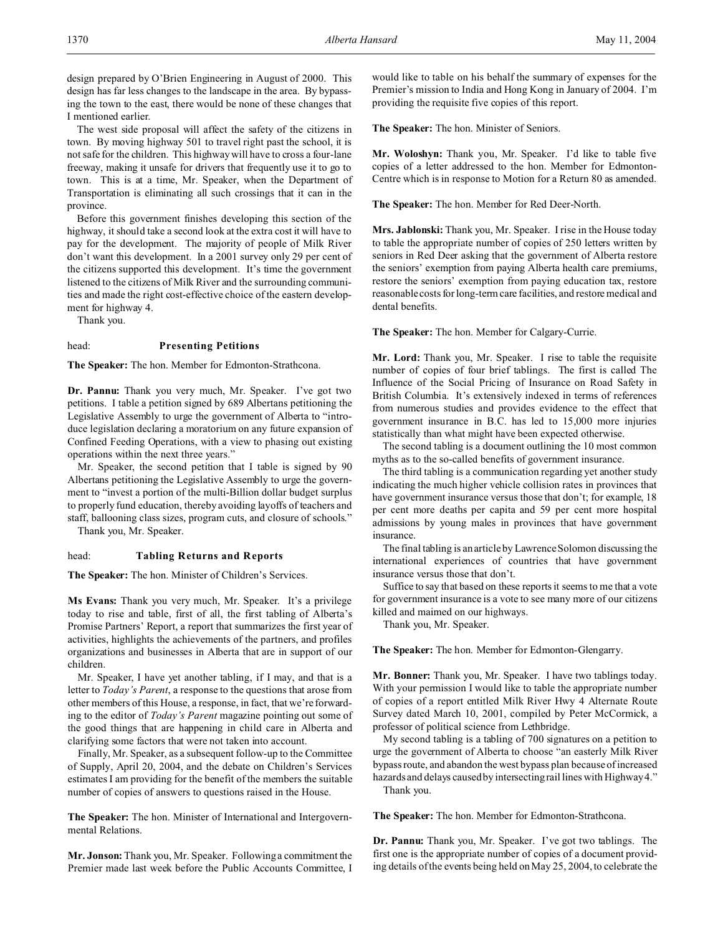design prepared by O'Brien Engineering in August of 2000. This design has far less changes to the landscape in the area. By bypassing the town to the east, there would be none of these changes that I mentioned earlier.

The west side proposal will affect the safety of the citizens in town. By moving highway 501 to travel right past the school, it is not safe for the children. This highway will have to cross a four-lane freeway, making it unsafe for drivers that frequently use it to go to town. This is at a time, Mr. Speaker, when the Department of Transportation is eliminating all such crossings that it can in the province.

Before this government finishes developing this section of the highway, it should take a second look at the extra cost it will have to pay for the development. The majority of people of Milk River don't want this development. In a 2001 survey only 29 per cent of the citizens supported this development. It's time the government listened to the citizens of Milk River and the surrounding communities and made the right cost-effective choice of the eastern development for highway 4.

Thank you.

# head: **Presenting Petitions**

**The Speaker:** The hon. Member for Edmonton-Strathcona.

**Dr. Pannu:** Thank you very much, Mr. Speaker. I've got two petitions. I table a petition signed by 689 Albertans petitioning the Legislative Assembly to urge the government of Alberta to "introduce legislation declaring a moratorium on any future expansion of Confined Feeding Operations, with a view to phasing out existing operations within the next three years."

Mr. Speaker, the second petition that I table is signed by 90 Albertans petitioning the Legislative Assembly to urge the government to "invest a portion of the multi-Billion dollar budget surplus to properly fund education, thereby avoiding layoffs of teachers and staff, ballooning class sizes, program cuts, and closure of schools."

Thank you, Mr. Speaker.

#### head: **Tabling Returns and Reports**

**The Speaker:** The hon. Minister of Children's Services.

**Ms Evans:** Thank you very much, Mr. Speaker. It's a privilege today to rise and table, first of all, the first tabling of Alberta's Promise Partners' Report, a report that summarizes the first year of activities, highlights the achievements of the partners, and profiles organizations and businesses in Alberta that are in support of our children.

Mr. Speaker, I have yet another tabling, if I may, and that is a letter to *Today's Parent*, a response to the questions that arose from other members of this House, a response, in fact, that we're forwarding to the editor of *Today's Parent* magazine pointing out some of the good things that are happening in child care in Alberta and clarifying some factors that were not taken into account.

Finally, Mr. Speaker, as a subsequent follow-up to the Committee of Supply, April 20, 2004, and the debate on Children's Services estimates I am providing for the benefit of the members the suitable number of copies of answers to questions raised in the House.

**The Speaker:** The hon. Minister of International and Intergovernmental Relations.

**Mr. Jonson:** Thank you, Mr. Speaker. Following a commitment the Premier made last week before the Public Accounts Committee, I would like to table on his behalf the summary of expenses for the Premier's mission to India and Hong Kong in January of 2004. I'm providing the requisite five copies of this report.

**The Speaker:** The hon. Minister of Seniors.

**Mr. Woloshyn:** Thank you, Mr. Speaker. I'd like to table five copies of a letter addressed to the hon. Member for Edmonton-Centre which is in response to Motion for a Return 80 as amended.

**The Speaker:** The hon. Member for Red Deer-North.

**Mrs. Jablonski:** Thank you, Mr. Speaker. I rise in the House today to table the appropriate number of copies of 250 letters written by seniors in Red Deer asking that the government of Alberta restore the seniors' exemption from paying Alberta health care premiums, restore the seniors' exemption from paying education tax, restore reasonable costs for long-term care facilities, and restore medical and dental benefits.

**The Speaker:** The hon. Member for Calgary-Currie.

**Mr. Lord:** Thank you, Mr. Speaker. I rise to table the requisite number of copies of four brief tablings. The first is called The Influence of the Social Pricing of Insurance on Road Safety in British Columbia. It's extensively indexed in terms of references from numerous studies and provides evidence to the effect that government insurance in B.C. has led to 15,000 more injuries statistically than what might have been expected otherwise.

The second tabling is a document outlining the 10 most common myths as to the so-called benefits of government insurance.

The third tabling is a communication regarding yet another study indicating the much higher vehicle collision rates in provinces that have government insurance versus those that don't; for example, 18 per cent more deaths per capita and 59 per cent more hospital admissions by young males in provinces that have government insurance.

The final tabling is an article by Lawrence Solomon discussing the international experiences of countries that have government insurance versus those that don't.

Suffice to say that based on these reports it seems to me that a vote for government insurance is a vote to see many more of our citizens killed and maimed on our highways.

Thank you, Mr. Speaker.

**The Speaker:** The hon. Member for Edmonton-Glengarry.

**Mr. Bonner:** Thank you, Mr. Speaker. I have two tablings today. With your permission I would like to table the appropriate number of copies of a report entitled Milk River Hwy 4 Alternate Route Survey dated March 10, 2001, compiled by Peter McCormick, a professor of political science from Lethbridge.

My second tabling is a tabling of 700 signatures on a petition to urge the government of Alberta to choose "an easterly Milk River bypass route, and abandon the west bypass plan because of increased hazards and delays caused by intersecting rail lines with Highway 4." Thank you.

**The Speaker:** The hon. Member for Edmonton-Strathcona.

**Dr. Pannu:** Thank you, Mr. Speaker. I've got two tablings. The first one is the appropriate number of copies of a document providing details of the events being held on May 25, 2004, to celebrate the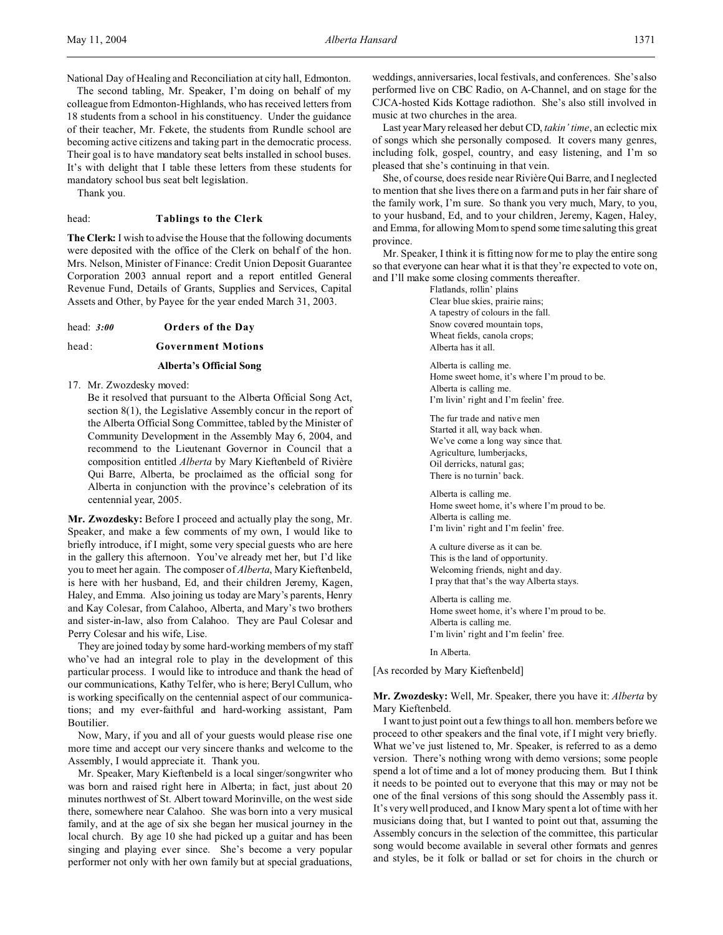National Day of Healing and Reconciliation at city hall, Edmonton.

The second tabling, Mr. Speaker, I'm doing on behalf of my colleague from Edmonton-Highlands, who has received letters from 18 students from a school in his constituency. Under the guidance of their teacher, Mr. Fekete, the students from Rundle school are becoming active citizens and taking part in the democratic process. Their goal is to have mandatory seat belts installed in school buses. It's with delight that I table these letters from these students for mandatory school bus seat belt legislation.

Thank you.

# head: **Tablings to the Clerk**

**The Clerk:** I wish to advise the House that the following documents were deposited with the office of the Clerk on behalf of the hon. Mrs. Nelson, Minister of Finance: Credit Union Deposit Guarantee Corporation 2003 annual report and a report entitled General Revenue Fund, Details of Grants, Supplies and Services, Capital Assets and Other, by Payee for the year ended March 31, 2003.

head: *3:00* **Orders of the Day**

#### head: **Government Motions**

#### **Alberta's Official Song**

17. Mr. Zwozdesky moved:

Be it resolved that pursuant to the Alberta Official Song Act, section 8(1), the Legislative Assembly concur in the report of the Alberta Official Song Committee, tabled by the Minister of Community Development in the Assembly May 6, 2004, and recommend to the Lieutenant Governor in Council that a composition entitled *Alberta* by Mary Kieftenbeld of Rivière Qui Barre, Alberta, be proclaimed as the official song for Alberta in conjunction with the province's celebration of its centennial year, 2005.

**Mr. Zwozdesky:** Before I proceed and actually play the song, Mr. Speaker, and make a few comments of my own, I would like to briefly introduce, if I might, some very special guests who are here in the gallery this afternoon. You've already met her, but I'd like you to meet her again. The composer of *Alberta*, Mary Kieftenbeld, is here with her husband, Ed, and their children Jeremy, Kagen, Haley, and Emma. Also joining us today are Mary's parents, Henry and Kay Colesar, from Calahoo, Alberta, and Mary's two brothers and sister-in-law, also from Calahoo. They are Paul Colesar and Perry Colesar and his wife, Lise.

They are joined today by some hard-working members of my staff who've had an integral role to play in the development of this particular process. I would like to introduce and thank the head of our communications, Kathy Telfer, who is here; Beryl Cullum, who is working specifically on the centennial aspect of our communications; and my ever-faithful and hard-working assistant, Pam Boutilier.

Now, Mary, if you and all of your guests would please rise one more time and accept our very sincere thanks and welcome to the Assembly, I would appreciate it. Thank you.

Mr. Speaker, Mary Kieftenbeld is a local singer/songwriter who was born and raised right here in Alberta; in fact, just about 20 minutes northwest of St. Albert toward Morinville, on the west side there, somewhere near Calahoo. She was born into a very musical family, and at the age of six she began her musical journey in the local church. By age 10 she had picked up a guitar and has been singing and playing ever since. She's become a very popular performer not only with her own family but at special graduations,

weddings, anniversaries, local festivals, and conferences. She's also performed live on CBC Radio, on A-Channel, and on stage for the CJCA-hosted Kids Kottage radiothon. She's also still involved in music at two churches in the area.

Last year Mary released her debut CD, *takin' time*, an eclectic mix of songs which she personally composed. It covers many genres, including folk, gospel, country, and easy listening, and I'm so pleased that she's continuing in that vein.

She, of course, does reside near Rivière Qui Barre, and I neglected to mention that she lives there on a farm and puts in her fair share of the family work, I'm sure. So thank you very much, Mary, to you, to your husband, Ed, and to your children, Jeremy, Kagen, Haley, and Emma, for allowing Mom to spend some time saluting this great province.

Mr. Speaker, I think it is fitting now for me to play the entire song so that everyone can hear what it is that they're expected to vote on, and I'll make some closing comments thereafter.

> Flatlands, rollin' plains Clear blue skies, prairie rains; A tapestry of colours in the fall. Snow covered mountain tops, Wheat fields, canola crops; Alberta has it all.

Alberta is calling me. Home sweet home, it's where I'm proud to be. Alberta is calling me. I'm livin' right and I'm feelin' free.

The fur trade and native men Started it all, way back when. We've come a long way since that. Agriculture, lumberjacks, Oil derricks, natural gas; There is no turnin' back.

Alberta is calling me. Home sweet home, it's where I'm proud to be. Alberta is calling me. I'm livin' right and I'm feelin' free.

A culture diverse as it can be. This is the land of opportunity. Welcoming friends, night and day. I pray that that's the way Alberta stays.

Alberta is calling me. Home sweet home, it's where I'm proud to be. Alberta is calling me. I'm livin' right and I'm feelin' free.

In Alberta.

[As recorded by Mary Kieftenbeld]

**Mr. Zwozdesky:** Well, Mr. Speaker, there you have it: *Alberta* by Mary Kieftenbeld.

I want to just point out a few things to all hon. members before we proceed to other speakers and the final vote, if I might very briefly. What we've just listened to, Mr. Speaker, is referred to as a demo version. There's nothing wrong with demo versions; some people spend a lot of time and a lot of money producing them. But I think it needs to be pointed out to everyone that this may or may not be one of the final versions of this song should the Assembly pass it. It's very well produced, and I know Mary spent a lot of time with her musicians doing that, but I wanted to point out that, assuming the Assembly concurs in the selection of the committee, this particular song would become available in several other formats and genres and styles, be it folk or ballad or set for choirs in the church or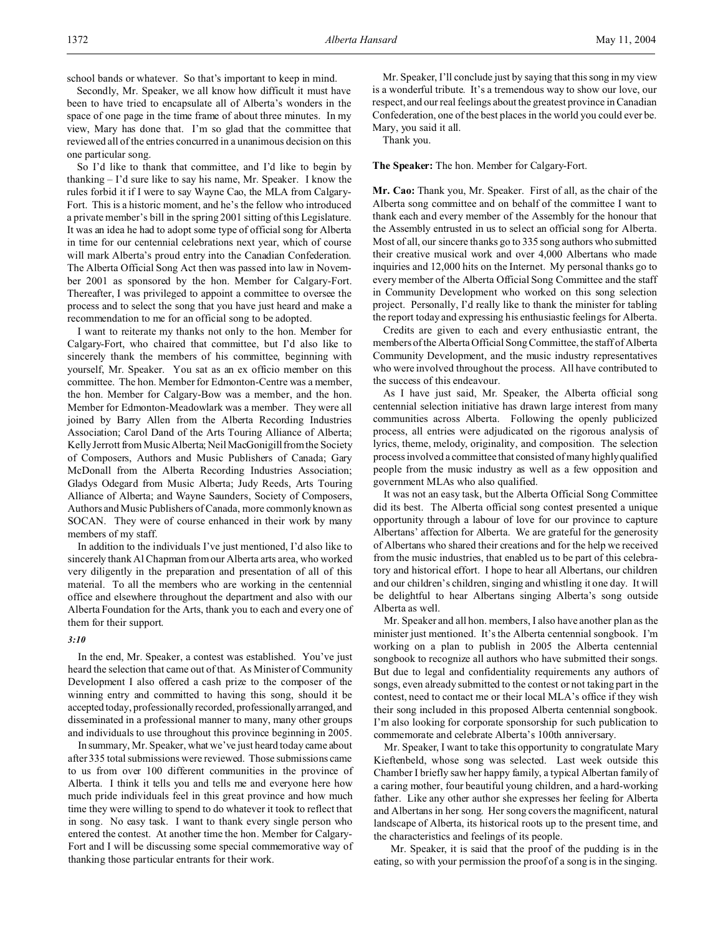school bands or whatever. So that's important to keep in mind.

Secondly, Mr. Speaker, we all know how difficult it must have been to have tried to encapsulate all of Alberta's wonders in the space of one page in the time frame of about three minutes. In my view, Mary has done that. I'm so glad that the committee that reviewed all of the entries concurred in a unanimous decision on this one particular song.

So I'd like to thank that committee, and I'd like to begin by thanking – I'd sure like to say his name, Mr. Speaker. I know the rules forbid it if I were to say Wayne Cao, the MLA from Calgary-Fort. This is a historic moment, and he's the fellow who introduced a private member's bill in the spring 2001 sitting of this Legislature. It was an idea he had to adopt some type of official song for Alberta in time for our centennial celebrations next year, which of course will mark Alberta's proud entry into the Canadian Confederation. The Alberta Official Song Act then was passed into law in November 2001 as sponsored by the hon. Member for Calgary-Fort. Thereafter, I was privileged to appoint a committee to oversee the process and to select the song that you have just heard and make a recommendation to me for an official song to be adopted.

I want to reiterate my thanks not only to the hon. Member for Calgary-Fort, who chaired that committee, but I'd also like to sincerely thank the members of his committee, beginning with yourself, Mr. Speaker. You sat as an ex officio member on this committee. The hon. Member for Edmonton-Centre was a member, the hon. Member for Calgary-Bow was a member, and the hon. Member for Edmonton-Meadowlark was a member. They were all joined by Barry Allen from the Alberta Recording Industries Association; Carol Dand of the Arts Touring Alliance of Alberta; Kelly Jerrott from Music Alberta; Neil MacGonigill from the Society of Composers, Authors and Music Publishers of Canada; Gary McDonall from the Alberta Recording Industries Association; Gladys Odegard from Music Alberta; Judy Reeds, Arts Touring Alliance of Alberta; and Wayne Saunders, Society of Composers, Authors and Music Publishers of Canada, more commonly known as SOCAN. They were of course enhanced in their work by many members of my staff.

In addition to the individuals I've just mentioned, I'd also like to sincerely thank Al Chapman from our Alberta arts area, who worked very diligently in the preparation and presentation of all of this material. To all the members who are working in the centennial office and elsewhere throughout the department and also with our Alberta Foundation for the Arts, thank you to each and every one of them for their support.

## *3:10*

In the end, Mr. Speaker, a contest was established. You've just heard the selection that came out of that. As Minister of Community Development I also offered a cash prize to the composer of the winning entry and committed to having this song, should it be accepted today, professionally recorded, professionallyarranged, and disseminated in a professional manner to many, many other groups and individuals to use throughout this province beginning in 2005.

In summary, Mr. Speaker, what we've just heard today came about after 335 total submissions were reviewed. Those submissions came to us from over 100 different communities in the province of Alberta. I think it tells you and tells me and everyone here how much pride individuals feel in this great province and how much time they were willing to spend to do whatever it took to reflect that in song. No easy task. I want to thank every single person who entered the contest. At another time the hon. Member for Calgary-Fort and I will be discussing some special commemorative way of thanking those particular entrants for their work.

Mr. Speaker, I'll conclude just by saying that this song in my view is a wonderful tribute. It's a tremendous way to show our love, our respect, and our real feelings about the greatest province in Canadian Confederation, one of the best places in the world you could ever be. Mary, you said it all.

Thank you.

**The Speaker:** The hon. Member for Calgary-Fort.

**Mr. Cao:** Thank you, Mr. Speaker. First of all, as the chair of the Alberta song committee and on behalf of the committee I want to thank each and every member of the Assembly for the honour that the Assembly entrusted in us to select an official song for Alberta. Most of all, our sincere thanks go to 335 song authors who submitted their creative musical work and over 4,000 Albertans who made inquiries and 12,000 hits on the Internet. My personal thanks go to every member of the Alberta Official Song Committee and the staff in Community Development who worked on this song selection project. Personally, I'd really like to thank the minister for tabling the report today and expressing his enthusiastic feelings for Alberta.

Credits are given to each and every enthusiastic entrant, the members of the Alberta Official Song Committee, the staff of Alberta Community Development, and the music industry representatives who were involved throughout the process. All have contributed to the success of this endeavour.

As I have just said, Mr. Speaker, the Alberta official song centennial selection initiative has drawn large interest from many communities across Alberta. Following the openly publicized process, all entries were adjudicated on the rigorous analysis of lyrics, theme, melody, originality, and composition. The selection process involved a committee that consisted of many highly qualified people from the music industry as well as a few opposition and government MLAs who also qualified.

It was not an easy task, but the Alberta Official Song Committee did its best. The Alberta official song contest presented a unique opportunity through a labour of love for our province to capture Albertans' affection for Alberta. We are grateful for the generosity of Albertans who shared their creations and for the help we received from the music industries, that enabled us to be part of this celebratory and historical effort. I hope to hear all Albertans, our children and our children's children, singing and whistling it one day. It will be delightful to hear Albertans singing Alberta's song outside Alberta as well.

Mr. Speaker and all hon. members, I also have another plan as the minister just mentioned. It's the Alberta centennial songbook. I'm working on a plan to publish in 2005 the Alberta centennial songbook to recognize all authors who have submitted their songs. But due to legal and confidentiality requirements any authors of songs, even already submitted to the contest or not taking part in the contest, need to contact me or their local MLA's office if they wish their song included in this proposed Alberta centennial songbook. I'm also looking for corporate sponsorship for such publication to commemorate and celebrate Alberta's 100th anniversary.

Mr. Speaker, I want to take this opportunity to congratulate Mary Kieftenbeld, whose song was selected. Last week outside this Chamber I briefly saw her happy family, a typical Albertan family of a caring mother, four beautiful young children, and a hard-working father. Like any other author she expresses her feeling for Alberta and Albertans in her song. Her song covers the magnificent, natural landscape of Alberta, its historical roots up to the present time, and the characteristics and feelings of its people.

Mr. Speaker, it is said that the proof of the pudding is in the eating, so with your permission the proof of a song is in the singing.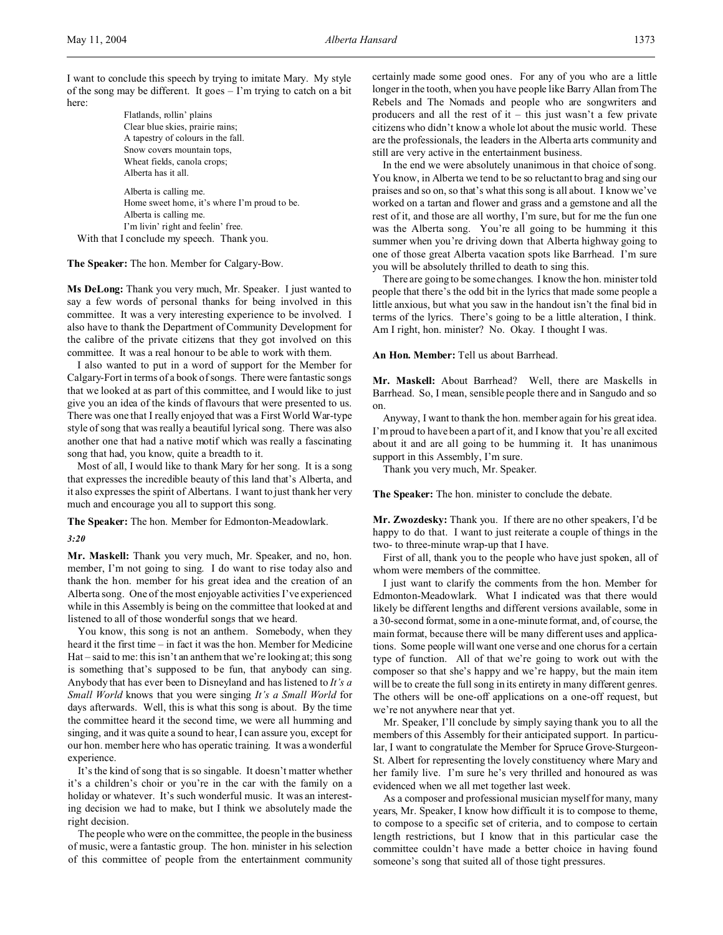I want to conclude this speech by trying to imitate Mary. My style of the song may be different. It goes – I'm trying to catch on a bit here:

Flatlands, rollin' plains Clear blue skies, prairie rains; A tapestry of colours in the fall. Snow covers mountain tops, Wheat fields, canola crops; Alberta has it all.

Alberta is calling me. Home sweet home, it's where I'm proud to be. Alberta is calling me. I'm livin' right and feelin' free. With that I conclude my speech. Thank you.

**The Speaker:** The hon. Member for Calgary-Bow.

**Ms DeLong:** Thank you very much, Mr. Speaker. I just wanted to say a few words of personal thanks for being involved in this committee. It was a very interesting experience to be involved. I also have to thank the Department of Community Development for the calibre of the private citizens that they got involved on this committee. It was a real honour to be able to work with them.

I also wanted to put in a word of support for the Member for Calgary-Fort in terms of a book of songs. There were fantastic songs that we looked at as part of this committee, and I would like to just give you an idea of the kinds of flavours that were presented to us. There was one that I really enjoyed that was a First World War-type style of song that was really a beautiful lyrical song. There was also another one that had a native motif which was really a fascinating song that had, you know, quite a breadth to it.

Most of all, I would like to thank Mary for her song. It is a song that expresses the incredible beauty of this land that's Alberta, and it also expresses the spirit of Albertans. I want to just thank her very much and encourage you all to support this song.

**The Speaker:** The hon. Member for Edmonton-Meadowlark.

#### *3:20*

**Mr. Maskell:** Thank you very much, Mr. Speaker, and no, hon. member, I'm not going to sing. I do want to rise today also and thank the hon. member for his great idea and the creation of an Alberta song. One of the most enjoyable activities I've experienced while in this Assembly is being on the committee that looked at and listened to all of those wonderful songs that we heard.

You know, this song is not an anthem. Somebody, when they heard it the first time – in fact it was the hon. Member for Medicine Hat – said to me: this isn't an anthem that we're looking at; this song is something that's supposed to be fun, that anybody can sing. Anybody that has ever been to Disneyland and has listened to *It's a Small World* knows that you were singing *It's a Small World* for days afterwards. Well, this is what this song is about. By the time the committee heard it the second time, we were all humming and singing, and it was quite a sound to hear, I can assure you, except for our hon. member here who has operatic training. It was a wonderful experience.

It's the kind of song that is so singable. It doesn't matter whether it's a children's choir or you're in the car with the family on a holiday or whatever. It's such wonderful music. It was an interesting decision we had to make, but I think we absolutely made the right decision.

The people who were on the committee, the people in the business of music, were a fantastic group. The hon. minister in his selection of this committee of people from the entertainment community

certainly made some good ones. For any of you who are a little longer in the tooth, when you have people like Barry Allan from The Rebels and The Nomads and people who are songwriters and producers and all the rest of it – this just wasn't a few private citizens who didn't know a whole lot about the music world. These are the professionals, the leaders in the Alberta arts community and still are very active in the entertainment business.

In the end we were absolutely unanimous in that choice of song. You know, in Alberta we tend to be so reluctant to brag and sing our praises and so on, so that's what this song is all about. I know we've worked on a tartan and flower and grass and a gemstone and all the rest of it, and those are all worthy, I'm sure, but for me the fun one was the Alberta song. You're all going to be humming it this summer when you're driving down that Alberta highway going to one of those great Alberta vacation spots like Barrhead. I'm sure you will be absolutely thrilled to death to sing this.

There are going to be some changes. I know the hon. minister told people that there's the odd bit in the lyrics that made some people a little anxious, but what you saw in the handout isn't the final bid in terms of the lyrics. There's going to be a little alteration, I think. Am I right, hon. minister? No. Okay. I thought I was.

**An Hon. Member:** Tell us about Barrhead.

**Mr. Maskell:** About Barrhead? Well, there are Maskells in Barrhead. So, I mean, sensible people there and in Sangudo and so on.

Anyway, I want to thank the hon. member again for his great idea. I'm proud to have been a part of it, and I know that you're all excited about it and are all going to be humming it. It has unanimous support in this Assembly, I'm sure.

Thank you very much, Mr. Speaker.

**The Speaker:** The hon. minister to conclude the debate.

**Mr. Zwozdesky:** Thank you. If there are no other speakers, I'd be happy to do that. I want to just reiterate a couple of things in the two- to three-minute wrap-up that I have.

First of all, thank you to the people who have just spoken, all of whom were members of the committee.

I just want to clarify the comments from the hon. Member for Edmonton-Meadowlark. What I indicated was that there would likely be different lengths and different versions available, some in a 30-second format, some in a one-minute format, and, of course, the main format, because there will be many different uses and applications. Some people will want one verse and one chorus for a certain type of function. All of that we're going to work out with the composer so that she's happy and we're happy, but the main item will be to create the full song in its entirety in many different genres. The others will be one-off applications on a one-off request, but we're not anywhere near that yet.

Mr. Speaker, I'll conclude by simply saying thank you to all the members of this Assembly for their anticipated support. In particular, I want to congratulate the Member for Spruce Grove-Sturgeon-St. Albert for representing the lovely constituency where Mary and her family live. I'm sure he's very thrilled and honoured as was evidenced when we all met together last week.

As a composer and professional musician myself for many, many years, Mr. Speaker, I know how difficult it is to compose to theme, to compose to a specific set of criteria, and to compose to certain length restrictions, but I know that in this particular case the committee couldn't have made a better choice in having found someone's song that suited all of those tight pressures.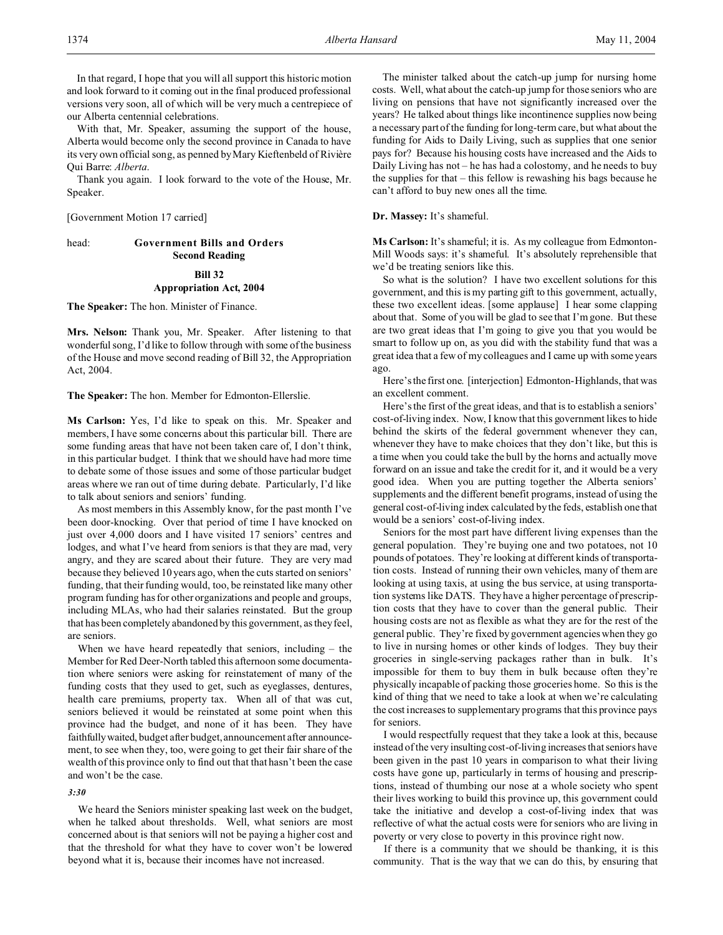In that regard, I hope that you will all support this historic motion and look forward to it coming out in the final produced professional versions very soon, all of which will be very much a centrepiece of our Alberta centennial celebrations.

With that, Mr. Speaker, assuming the support of the house, Alberta would become only the second province in Canada to have its very own official song, as penned by Mary Kieftenbeld of Rivière Qui Barre: *Alberta*.

Thank you again. I look forward to the vote of the House, Mr. Speaker.

[Government Motion 17 carried]

# head: **Government Bills and Orders Second Reading Bill 32 Appropriation Act, 2004**

**The Speaker:** The hon. Minister of Finance.

**Mrs. Nelson:** Thank you, Mr. Speaker. After listening to that wonderful song, I'd like to follow through with some of the business of the House and move second reading of Bill 32, the Appropriation Act, 2004.

**The Speaker:** The hon. Member for Edmonton-Ellerslie.

**Ms Carlson:** Yes, I'd like to speak on this. Mr. Speaker and members, I have some concerns about this particular bill. There are some funding areas that have not been taken care of, I don't think, in this particular budget. I think that we should have had more time to debate some of those issues and some of those particular budget areas where we ran out of time during debate. Particularly, I'd like to talk about seniors and seniors' funding.

As most members in this Assembly know, for the past month I've been door-knocking. Over that period of time I have knocked on just over 4,000 doors and I have visited 17 seniors' centres and lodges, and what I've heard from seniors is that they are mad, very angry, and they are scared about their future. They are very mad because they believed 10 years ago, when the cuts started on seniors' funding, that their funding would, too, be reinstated like many other program funding has for other organizations and people and groups, including MLAs, who had their salaries reinstated. But the group that has been completely abandoned by this government, as they feel, are seniors.

When we have heard repeatedly that seniors, including – the Member for Red Deer-North tabled this afternoon some documentation where seniors were asking for reinstatement of many of the funding costs that they used to get, such as eyeglasses, dentures, health care premiums, property tax. When all of that was cut, seniors believed it would be reinstated at some point when this province had the budget, and none of it has been. They have faithfullywaited, budget after budget, announcement after announcement, to see when they, too, were going to get their fair share of the wealth of this province only to find out that that hasn't been the case and won't be the case.

# *3:30*

We heard the Seniors minister speaking last week on the budget, when he talked about thresholds. Well, what seniors are most concerned about is that seniors will not be paying a higher cost and that the threshold for what they have to cover won't be lowered beyond what it is, because their incomes have not increased.

The minister talked about the catch-up jump for nursing home costs. Well, what about the catch-up jump for those seniors who are living on pensions that have not significantly increased over the years? He talked about things like incontinence supplies now being a necessary part of the funding for long-term care, but what about the funding for Aids to Daily Living, such as supplies that one senior pays for? Because his housing costs have increased and the Aids to Daily Living has not – he has had a colostomy, and he needs to buy the supplies for that – this fellow is rewashing his bags because he can't afford to buy new ones all the time.

**Dr. Massey:** It's shameful.

**Ms Carlson:** It's shameful; it is. As my colleague from Edmonton-Mill Woods says: it's shameful. It's absolutely reprehensible that we'd be treating seniors like this.

So what is the solution? I have two excellent solutions for this government, and this is my parting gift to this government, actually, these two excellent ideas. [some applause] I hear some clapping about that. Some of you will be glad to see that I'm gone. But these are two great ideas that I'm going to give you that you would be smart to follow up on, as you did with the stability fund that was a great idea that a few of my colleagues and I came up with some years ago.

Here's the first one. [interjection] Edmonton-Highlands, that was an excellent comment.

Here's the first of the great ideas, and that is to establish a seniors' cost-of-living index. Now, I know that this government likes to hide behind the skirts of the federal government whenever they can, whenever they have to make choices that they don't like, but this is a time when you could take the bull by the horns and actually move forward on an issue and take the credit for it, and it would be a very good idea. When you are putting together the Alberta seniors' supplements and the different benefit programs, instead of using the general cost-of-living index calculated by the feds, establish one that would be a seniors' cost-of-living index.

Seniors for the most part have different living expenses than the general population. They're buying one and two potatoes, not 10 pounds of potatoes. They're looking at different kinds of transportation costs. Instead of running their own vehicles, many of them are looking at using taxis, at using the bus service, at using transportation systems like DATS. They have a higher percentage of prescription costs that they have to cover than the general public. Their housing costs are not as flexible as what they are for the rest of the general public. They're fixed by government agencies when they go to live in nursing homes or other kinds of lodges. They buy their groceries in single-serving packages rather than in bulk. It's impossible for them to buy them in bulk because often they're physically incapable of packing those groceries home. So this is the kind of thing that we need to take a look at when we're calculating the cost increases to supplementary programs that this province pays for seniors.

I would respectfully request that they take a look at this, because instead of the very insulting cost-of-living increases that seniors have been given in the past 10 years in comparison to what their living costs have gone up, particularly in terms of housing and prescriptions, instead of thumbing our nose at a whole society who spent their lives working to build this province up, this government could take the initiative and develop a cost-of-living index that was reflective of what the actual costs were for seniors who are living in poverty or very close to poverty in this province right now.

If there is a community that we should be thanking, it is this community. That is the way that we can do this, by ensuring that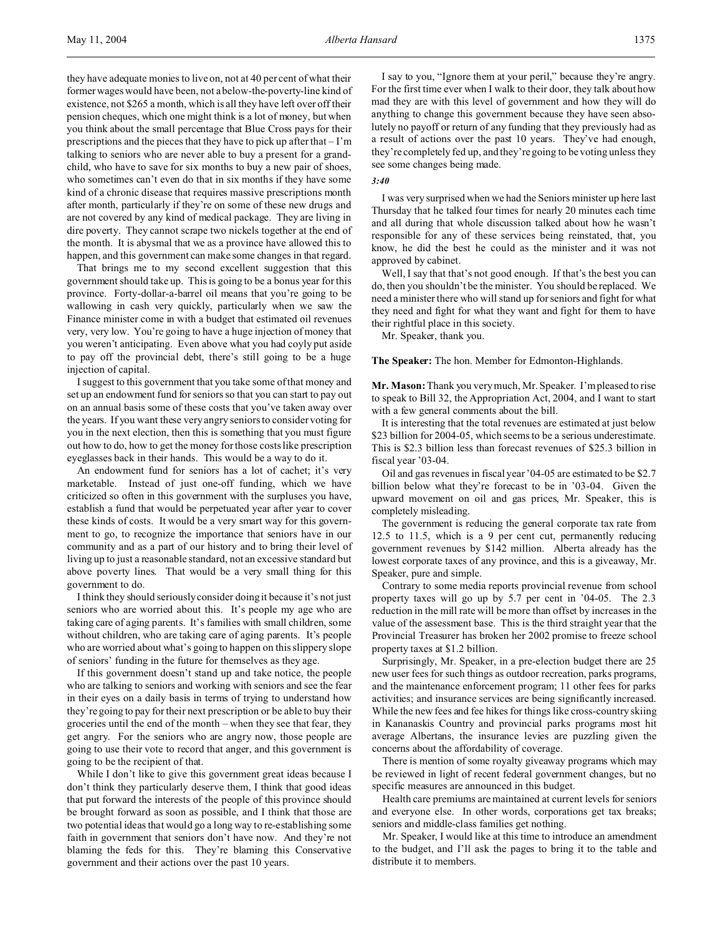they have adequate monies to live on, not at 40 per cent of what their former wages would have been, not a below-the-poverty-line kind of existence, not \$265 a month, which is all they have left over off their pension cheques, which one might think is a lot of money, but when you think about the small percentage that Blue Cross pays for their prescriptions and the pieces that they have to pick up after that – I'm talking to seniors who are never able to buy a present for a grandchild, who have to save for six months to buy a new pair of shoes, who sometimes can't even do that in six months if they have some kind of a chronic disease that requires massive prescriptions month after month, particularly if they're on some of these new drugs and are not covered by any kind of medical package. They are living in dire poverty. They cannot scrape two nickels together at the end of the month. It is abysmal that we as a province have allowed this to happen, and this government can make some changes in that regard.

That brings me to my second excellent suggestion that this government should take up. This is going to be a bonus year for this province. Forty-dollar-a-barrel oil means that you're going to be wallowing in cash very quickly, particularly when we saw the Finance minister come in with a budget that estimated oil revenues very, very low. You're going to have a huge injection of money that you weren't anticipating. Even above what you had coyly put aside to pay off the provincial debt, there's still going to be a huge injection of capital.

I suggest to this government that you take some of that money and set up an endowment fund for seniors so that you can start to pay out on an annual basis some of these costs that you've taken away over the years. If you want these very angry seniors to consider voting for you in the next election, then this is something that you must figure out how to do, how to get the money for those costs like prescription eyeglasses back in their hands. This would be a way to do it.

An endowment fund for seniors has a lot of cachet; it's very marketable. Instead of just one-off funding, which we have criticized so often in this government with the surpluses you have, establish a fund that would be perpetuated year after year to cover these kinds of costs. It would be a very smart way for this government to go, to recognize the importance that seniors have in our community and as a part of our history and to bring their level of living up to just a reasonable standard, not an excessive standard but above poverty lines. That would be a very small thing for this government to do.

I think they should seriously consider doing it because it's not just seniors who are worried about this. It's people my age who are taking care of aging parents. It's families with small children, some without children, who are taking care of aging parents. It's people who are worried about what's going to happen on this slippery slope of seniors' funding in the future for themselves as they age.

If this government doesn't stand up and take notice, the people who are talking to seniors and working with seniors and see the fear in their eyes on a daily basis in terms of trying to understand how they're going to pay for their next prescription or be able to buy their groceries until the end of the month – when they see that fear, they get angry. For the seniors who are angry now, those people are going to use their vote to record that anger, and this government is going to be the recipient of that.

While I don't like to give this government great ideas because I don't think they particularly deserve them, I think that good ideas that put forward the interests of the people of this province should be brought forward as soon as possible, and I think that those are two potential ideas that would go a long way to re-establishing some faith in government that seniors don't have now. And they're not blaming the feds for this. They're blaming this Conservative government and their actions over the past 10 years.

I say to you, "Ignore them at your peril," because they're angry. For the first time ever when I walk to their door, they talk about how mad they are with this level of government and how they will do anything to change this government because they have seen absolutely no payoff or return of any funding that they previously had as a result of actions over the past 10 years. They've had enough, they're completely fed up, and they're going to be voting unless they see some changes being made.

#### *3:40*

I was very surprised when we had the Seniors minister up here last Thursday that he talked four times for nearly 20 minutes each time and all during that whole discussion talked about how he wasn't responsible for any of these services being reinstated, that, you know, he did the best he could as the minister and it was not approved by cabinet.

Well, I say that that's not good enough. If that's the best you can do, then you shouldn't be the minister. You should be replaced. We need a minister there who will stand up for seniors and fight for what they need and fight for what they want and fight for them to have their rightful place in this society.

Mr. Speaker, thank you.

**The Speaker:** The hon. Member for Edmonton-Highlands.

**Mr. Mason:** Thank you very much, Mr. Speaker. I'm pleased to rise to speak to Bill 32, the Appropriation Act, 2004, and I want to start with a few general comments about the bill.

It is interesting that the total revenues are estimated at just below \$23 billion for 2004-05, which seems to be a serious underestimate. This is \$2.3 billion less than forecast revenues of \$25.3 billion in fiscal year '03-04.

Oil and gas revenues in fiscal year '04-05 are estimated to be \$2.7 billion below what they're forecast to be in '03-04. Given the upward movement on oil and gas prices, Mr. Speaker, this is completely misleading.

The government is reducing the general corporate tax rate from 12.5 to 11.5, which is a 9 per cent cut, permanently reducing government revenues by \$142 million. Alberta already has the lowest corporate taxes of any province, and this is a giveaway, Mr. Speaker, pure and simple.

Contrary to some media reports provincial revenue from school property taxes will go up by 5.7 per cent in '04-05. The 2.3 reduction in the mill rate will be more than offset by increases in the value of the assessment base. This is the third straight year that the Provincial Treasurer has broken her 2002 promise to freeze school property taxes at \$1.2 billion.

Surprisingly, Mr. Speaker, in a pre-election budget there are 25 new user fees for such things as outdoor recreation, parks programs, and the maintenance enforcement program; 11 other fees for parks activities; and insurance services are being significantly increased. While the new fees and fee hikes for things like cross-country skiing in Kananaskis Country and provincial parks programs most hit average Albertans, the insurance levies are puzzling given the concerns about the affordability of coverage.

There is mention of some royalty giveaway programs which may be reviewed in light of recent federal government changes, but no specific measures are announced in this budget.

Health care premiums are maintained at current levels for seniors and everyone else. In other words, corporations get tax breaks; seniors and middle-class families get nothing.

Mr. Speaker, I would like at this time to introduce an amendment to the budget, and I'll ask the pages to bring it to the table and distribute it to members.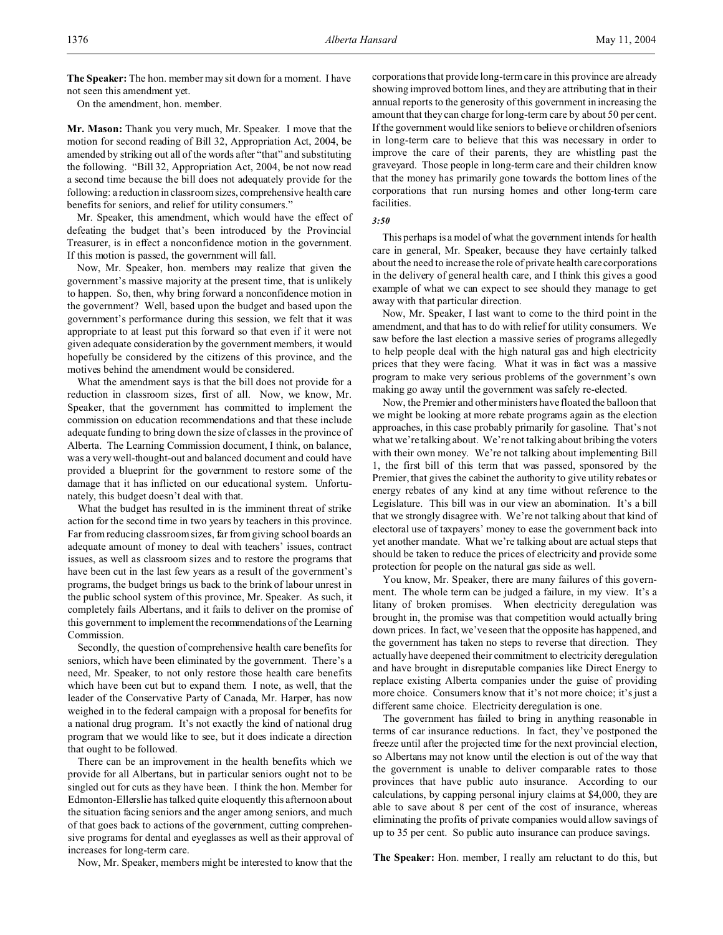**The Speaker:** The hon. member may sit down for a moment. I have not seen this amendment yet.

On the amendment, hon. member.

**Mr. Mason:** Thank you very much, Mr. Speaker. I move that the motion for second reading of Bill 32, Appropriation Act, 2004, be amended by striking out all of the words after "that" and substituting the following. "Bill 32, Appropriation Act, 2004, be not now read a second time because the bill does not adequately provide for the following: a reduction in classroom sizes, comprehensive health care benefits for seniors, and relief for utility consumers."

Mr. Speaker, this amendment, which would have the effect of defeating the budget that's been introduced by the Provincial Treasurer, is in effect a nonconfidence motion in the government. If this motion is passed, the government will fall.

Now, Mr. Speaker, hon. members may realize that given the government's massive majority at the present time, that is unlikely to happen. So, then, why bring forward a nonconfidence motion in the government? Well, based upon the budget and based upon the government's performance during this session, we felt that it was appropriate to at least put this forward so that even if it were not given adequate consideration by the government members, it would hopefully be considered by the citizens of this province, and the motives behind the amendment would be considered.

What the amendment says is that the bill does not provide for a reduction in classroom sizes, first of all. Now, we know, Mr. Speaker, that the government has committed to implement the commission on education recommendations and that these include adequate funding to bring down the size of classes in the province of Alberta. The Learning Commission document, I think, on balance, was a very well-thought-out and balanced document and could have provided a blueprint for the government to restore some of the damage that it has inflicted on our educational system. Unfortunately, this budget doesn't deal with that.

What the budget has resulted in is the imminent threat of strike action for the second time in two years by teachers in this province. Far from reducing classroom sizes, far from giving school boards an adequate amount of money to deal with teachers' issues, contract issues, as well as classroom sizes and to restore the programs that have been cut in the last few years as a result of the government's programs, the budget brings us back to the brink of labour unrest in the public school system of this province, Mr. Speaker. As such, it completely fails Albertans, and it fails to deliver on the promise of this government to implement the recommendations of the Learning Commission.

Secondly, the question of comprehensive health care benefits for seniors, which have been eliminated by the government. There's a need, Mr. Speaker, to not only restore those health care benefits which have been cut but to expand them. I note, as well, that the leader of the Conservative Party of Canada, Mr. Harper, has now weighed in to the federal campaign with a proposal for benefits for a national drug program. It's not exactly the kind of national drug program that we would like to see, but it does indicate a direction that ought to be followed.

There can be an improvement in the health benefits which we provide for all Albertans, but in particular seniors ought not to be singled out for cuts as they have been. I think the hon. Member for Edmonton-Ellerslie has talked quite eloquently this afternoon about the situation facing seniors and the anger among seniors, and much of that goes back to actions of the government, cutting comprehensive programs for dental and eyeglasses as well as their approval of increases for long-term care.

corporations that provide long-term care in this province are already showing improved bottom lines, and they are attributing that in their annual reports to the generosity of this government in increasing the amount that they can charge for long-term care by about 50 per cent. If the government would like seniors to believe or children of seniors in long-term care to believe that this was necessary in order to improve the care of their parents, they are whistling past the graveyard. Those people in long-term care and their children know that the money has primarily gone towards the bottom lines of the corporations that run nursing homes and other long-term care facilities.

#### *3:50*

This perhaps is a model of what the government intends for health care in general, Mr. Speaker, because they have certainly talked about the need to increase the role of private health care corporations in the delivery of general health care, and I think this gives a good example of what we can expect to see should they manage to get away with that particular direction.

Now, Mr. Speaker, I last want to come to the third point in the amendment, and that has to do with relief for utility consumers. We saw before the last election a massive series of programs allegedly to help people deal with the high natural gas and high electricity prices that they were facing. What it was in fact was a massive program to make very serious problems of the government's own making go away until the government was safely re-elected.

Now, the Premier and other ministers have floated the balloon that we might be looking at more rebate programs again as the election approaches, in this case probably primarily for gasoline. That's not what we're talking about. We're not talking about bribing the voters with their own money. We're not talking about implementing Bill 1, the first bill of this term that was passed, sponsored by the Premier, that gives the cabinet the authority to give utility rebates or energy rebates of any kind at any time without reference to the Legislature. This bill was in our view an abomination. It's a bill that we strongly disagree with. We're not talking about that kind of electoral use of taxpayers' money to ease the government back into yet another mandate. What we're talking about are actual steps that should be taken to reduce the prices of electricity and provide some protection for people on the natural gas side as well.

You know, Mr. Speaker, there are many failures of this government. The whole term can be judged a failure, in my view. It's a litany of broken promises. When electricity deregulation was brought in, the promise was that competition would actually bring down prices. In fact, we've seen that the opposite has happened, and the government has taken no steps to reverse that direction. They actually have deepened their commitment to electricity deregulation and have brought in disreputable companies like Direct Energy to replace existing Alberta companies under the guise of providing more choice. Consumers know that it's not more choice; it's just a different same choice. Electricity deregulation is one.

The government has failed to bring in anything reasonable in terms of car insurance reductions. In fact, they've postponed the freeze until after the projected time for the next provincial election, so Albertans may not know until the election is out of the way that the government is unable to deliver comparable rates to those provinces that have public auto insurance. According to our calculations, by capping personal injury claims at \$4,000, they are able to save about 8 per cent of the cost of insurance, whereas eliminating the profits of private companies would allow savings of up to 35 per cent. So public auto insurance can produce savings.

Now, Mr. Speaker, members might be interested to know that the

**The Speaker:** Hon. member, I really am reluctant to do this, but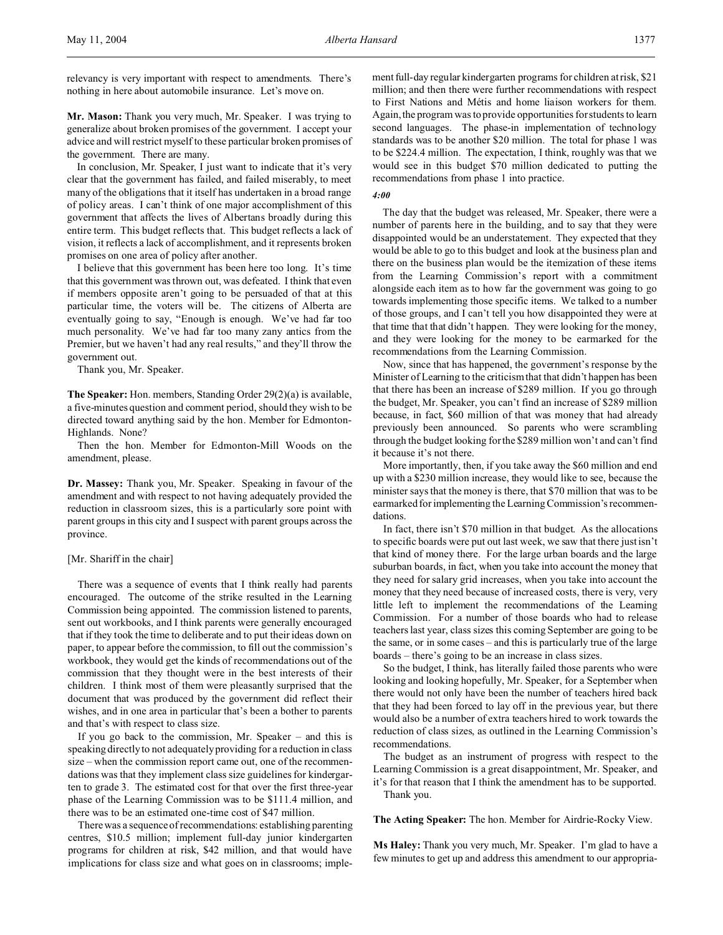relevancy is very important with respect to amendments. There's nothing in here about automobile insurance. Let's move on.

**Mr. Mason:** Thank you very much, Mr. Speaker. I was trying to generalize about broken promises of the government. I accept your advice and will restrict myself to these particular broken promises of the government. There are many.

In conclusion, Mr. Speaker, I just want to indicate that it's very clear that the government has failed, and failed miserably, to meet many of the obligations that it itself has undertaken in a broad range of policy areas. I can't think of one major accomplishment of this government that affects the lives of Albertans broadly during this entire term. This budget reflects that. This budget reflects a lack of vision, it reflects a lack of accomplishment, and it represents broken promises on one area of policy after another.

I believe that this government has been here too long. It's time that this government was thrown out, was defeated. I think that even if members opposite aren't going to be persuaded of that at this particular time, the voters will be. The citizens of Alberta are eventually going to say, "Enough is enough. We've had far too much personality. We've had far too many zany antics from the Premier, but we haven't had any real results," and they'll throw the government out.

Thank you, Mr. Speaker.

**The Speaker:** Hon. members, Standing Order 29(2)(a) is available, a five-minutes question and comment period, should they wish to be directed toward anything said by the hon. Member for Edmonton-Highlands. None?

Then the hon. Member for Edmonton-Mill Woods on the amendment, please.

**Dr. Massey:** Thank you, Mr. Speaker. Speaking in favour of the amendment and with respect to not having adequately provided the reduction in classroom sizes, this is a particularly sore point with parent groups in this city and I suspect with parent groups across the province.

#### [Mr. Shariff in the chair]

There was a sequence of events that I think really had parents encouraged. The outcome of the strike resulted in the Learning Commission being appointed. The commission listened to parents, sent out workbooks, and I think parents were generally encouraged that if they took the time to deliberate and to put their ideas down on paper, to appear before the commission, to fill out the commission's workbook, they would get the kinds of recommendations out of the commission that they thought were in the best interests of their children. I think most of them were pleasantly surprised that the document that was produced by the government did reflect their wishes, and in one area in particular that's been a bother to parents and that's with respect to class size.

If you go back to the commission, Mr. Speaker – and this is speaking directly to not adequately providing for a reduction in class size – when the commission report came out, one of the recommendations was that they implement class size guidelines for kindergarten to grade 3. The estimated cost for that over the first three-year phase of the Learning Commission was to be \$111.4 million, and there was to be an estimated one-time cost of \$47 million.

There was a sequence of recommendations: establishing parenting centres, \$10.5 million; implement full-day junior kindergarten programs for children at risk, \$42 million, and that would have implications for class size and what goes on in classrooms; implement full-day regular kindergarten programs for children at risk, \$21 million; and then there were further recommendations with respect to First Nations and Métis and home liaison workers for them. Again, the program was to provide opportunities for students to learn second languages. The phase-in implementation of technology standards was to be another \$20 million. The total for phase 1 was to be \$224.4 million. The expectation, I think, roughly was that we would see in this budget \$70 million dedicated to putting the recommendations from phase 1 into practice.

# *4:00*

The day that the budget was released, Mr. Speaker, there were a number of parents here in the building, and to say that they were disappointed would be an understatement. They expected that they would be able to go to this budget and look at the business plan and there on the business plan would be the itemization of these items from the Learning Commission's report with a commitment alongside each item as to how far the government was going to go towards implementing those specific items. We talked to a number of those groups, and I can't tell you how disappointed they were at that time that that didn't happen. They were looking for the money, and they were looking for the money to be earmarked for the recommendations from the Learning Commission.

Now, since that has happened, the government's response by the Minister of Learning to the criticism that that didn't happen has been that there has been an increase of \$289 million. If you go through the budget, Mr. Speaker, you can't find an increase of \$289 million because, in fact, \$60 million of that was money that had already previously been announced. So parents who were scrambling through the budget looking for the \$289 million won't and can't find it because it's not there.

More importantly, then, if you take away the \$60 million and end up with a \$230 million increase, they would like to see, because the minister says that the money is there, that \$70 million that was to be earmarked for implementing the Learning Commission's recommendations.

In fact, there isn't \$70 million in that budget. As the allocations to specific boards were put out last week, we saw that there just isn't that kind of money there. For the large urban boards and the large suburban boards, in fact, when you take into account the money that they need for salary grid increases, when you take into account the money that they need because of increased costs, there is very, very little left to implement the recommendations of the Learning Commission. For a number of those boards who had to release teachers last year, class sizes this coming September are going to be the same, or in some cases – and this is particularly true of the large boards – there's going to be an increase in class sizes.

So the budget, I think, has literally failed those parents who were looking and looking hopefully, Mr. Speaker, for a September when there would not only have been the number of teachers hired back that they had been forced to lay off in the previous year, but there would also be a number of extra teachers hired to work towards the reduction of class sizes, as outlined in the Learning Commission's recommendations.

The budget as an instrument of progress with respect to the Learning Commission is a great disappointment, Mr. Speaker, and it's for that reason that I think the amendment has to be supported. Thank you.

**The Acting Speaker:** The hon. Member for Airdrie-Rocky View.

**Ms Haley:** Thank you very much, Mr. Speaker. I'm glad to have a few minutes to get up and address this amendment to our appropria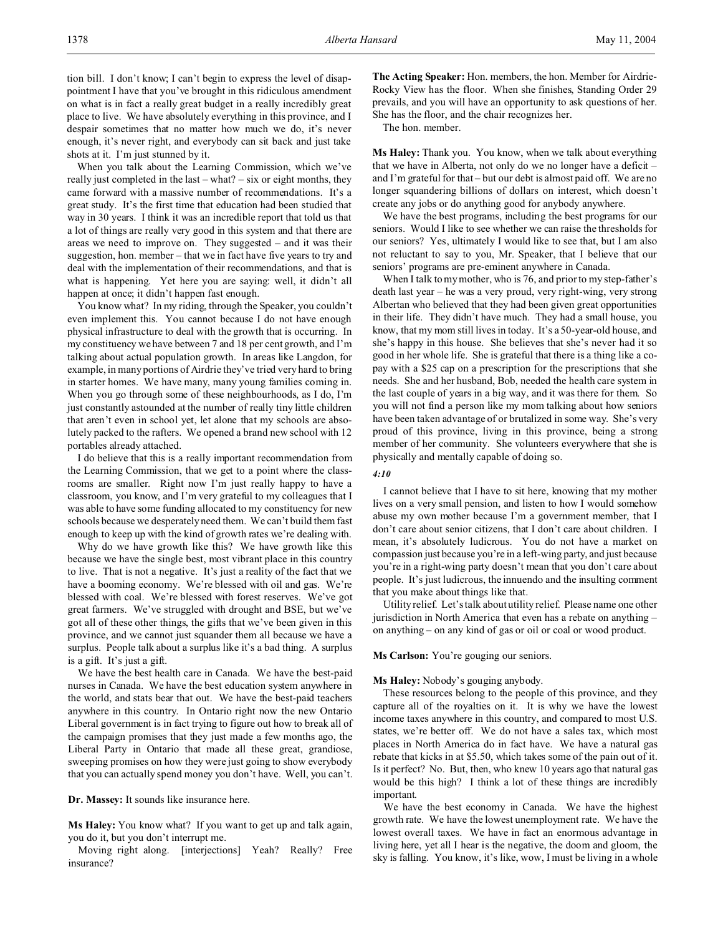tion bill. I don't know; I can't begin to express the level of disappointment I have that you've brought in this ridiculous amendment on what is in fact a really great budget in a really incredibly great place to live. We have absolutely everything in this province, and I despair sometimes that no matter how much we do, it's never enough, it's never right, and everybody can sit back and just take shots at it. I'm just stunned by it.

When you talk about the Learning Commission, which we've really just completed in the last – what? – six or eight months, they came forward with a massive number of recommendations. It's a great study. It's the first time that education had been studied that way in 30 years. I think it was an incredible report that told us that a lot of things are really very good in this system and that there are areas we need to improve on. They suggested – and it was their suggestion, hon. member – that we in fact have five years to try and deal with the implementation of their recommendations, and that is what is happening. Yet here you are saying: well, it didn't all happen at once; it didn't happen fast enough.

You know what? In my riding, through the Speaker, you couldn't even implement this. You cannot because I do not have enough physical infrastructure to deal with the growth that is occurring. In my constituency we have between 7 and 18 per cent growth, and I'm talking about actual population growth. In areas like Langdon, for example, in many portions of Airdrie they've tried very hard to bring in starter homes. We have many, many young families coming in. When you go through some of these neighbourhoods, as I do, I'm just constantly astounded at the number of really tiny little children that aren't even in school yet, let alone that my schools are absolutely packed to the rafters. We opened a brand new school with 12 portables already attached.

I do believe that this is a really important recommendation from the Learning Commission, that we get to a point where the classrooms are smaller. Right now I'm just really happy to have a classroom, you know, and I'm very grateful to my colleagues that I was able to have some funding allocated to my constituency for new schools because we desperately need them. We can't build them fast enough to keep up with the kind of growth rates we're dealing with.

Why do we have growth like this? We have growth like this because we have the single best, most vibrant place in this country to live. That is not a negative. It's just a reality of the fact that we have a booming economy. We're blessed with oil and gas. We're blessed with coal. We're blessed with forest reserves. We've got great farmers. We've struggled with drought and BSE, but we've got all of these other things, the gifts that we've been given in this province, and we cannot just squander them all because we have a surplus. People talk about a surplus like it's a bad thing. A surplus is a gift. It's just a gift.

We have the best health care in Canada. We have the best-paid nurses in Canada. We have the best education system anywhere in the world, and stats bear that out. We have the best-paid teachers anywhere in this country. In Ontario right now the new Ontario Liberal government is in fact trying to figure out how to break all of the campaign promises that they just made a few months ago, the Liberal Party in Ontario that made all these great, grandiose, sweeping promises on how they were just going to show everybody that you can actually spend money you don't have. Well, you can't.

**Dr. Massey:** It sounds like insurance here.

**Ms Haley:** You know what? If you want to get up and talk again, you do it, but you don't interrupt me.

Moving right along. [interjections] Yeah? Really? Free insurance?

**The Acting Speaker:** Hon. members, the hon. Member for Airdrie-Rocky View has the floor. When she finishes, Standing Order 29 prevails, and you will have an opportunity to ask questions of her. She has the floor, and the chair recognizes her.

The hon. member.

**Ms Haley:** Thank you. You know, when we talk about everything that we have in Alberta, not only do we no longer have a deficit – and I'm grateful for that – but our debt is almost paid off. We are no longer squandering billions of dollars on interest, which doesn't create any jobs or do anything good for anybody anywhere.

We have the best programs, including the best programs for our seniors. Would I like to see whether we can raise the thresholds for our seniors? Yes, ultimately I would like to see that, but I am also not reluctant to say to you, Mr. Speaker, that I believe that our seniors' programs are pre-eminent anywhere in Canada.

When I talk to my mother, who is 76, and prior to my step-father's death last year – he was a very proud, very right-wing, very strong Albertan who believed that they had been given great opportunities in their life. They didn't have much. They had a small house, you know, that my mom still lives in today. It's a 50-year-old house, and she's happy in this house. She believes that she's never had it so good in her whole life. She is grateful that there is a thing like a copay with a \$25 cap on a prescription for the prescriptions that she needs. She and her husband, Bob, needed the health care system in the last couple of years in a big way, and it was there for them. So you will not find a person like my mom talking about how seniors have been taken advantage of or brutalized in some way. She's very proud of this province, living in this province, being a strong member of her community. She volunteers everywhere that she is physically and mentally capable of doing so.

#### *4:10*

I cannot believe that I have to sit here, knowing that my mother lives on a very small pension, and listen to how I would somehow abuse my own mother because I'm a government member, that I don't care about senior citizens, that I don't care about children. I mean, it's absolutely ludicrous. You do not have a market on compassion just because you're in a left-wing party, and just because you're in a right-wing party doesn't mean that you don't care about people. It's just ludicrous, the innuendo and the insulting comment that you make about things like that.

Utility relief. Let's talk about utility relief. Please name one other jurisdiction in North America that even has a rebate on anything – on anything – on any kind of gas or oil or coal or wood product.

# **Ms Carlson:** You're gouging our seniors.

#### **Ms Haley:** Nobody's gouging anybody.

These resources belong to the people of this province, and they capture all of the royalties on it. It is why we have the lowest income taxes anywhere in this country, and compared to most U.S. states, we're better off. We do not have a sales tax, which most places in North America do in fact have. We have a natural gas rebate that kicks in at \$5.50, which takes some of the pain out of it. Is it perfect? No. But, then, who knew 10 years ago that natural gas would be this high? I think a lot of these things are incredibly important.

We have the best economy in Canada. We have the highest growth rate. We have the lowest unemployment rate. We have the lowest overall taxes. We have in fact an enormous advantage in living here, yet all I hear is the negative, the doom and gloom, the sky is falling. You know, it's like, wow, I must be living in a whole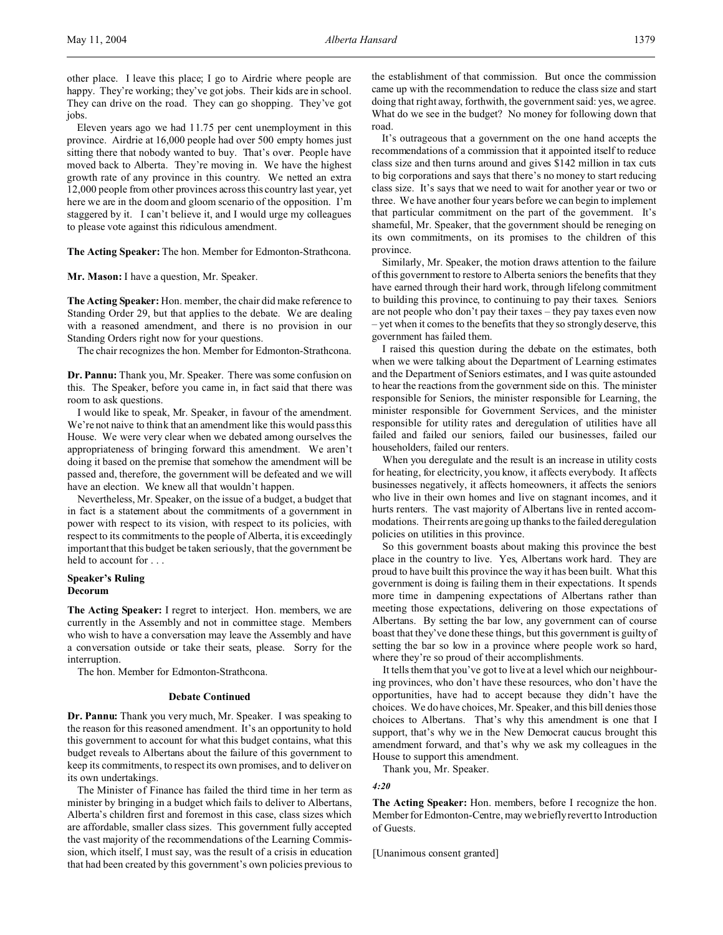other place. I leave this place; I go to Airdrie where people are happy. They're working; they've got jobs. Their kids are in school. They can drive on the road. They can go shopping. They've got iobs.

Eleven years ago we had 11.75 per cent unemployment in this province. Airdrie at 16,000 people had over 500 empty homes just sitting there that nobody wanted to buy. That's over. People have moved back to Alberta. They're moving in. We have the highest growth rate of any province in this country. We netted an extra 12,000 people from other provinces across this country last year, yet here we are in the doom and gloom scenario of the opposition. I'm staggered by it. I can't believe it, and I would urge my colleagues to please vote against this ridiculous amendment.

**The Acting Speaker:** The hon. Member for Edmonton-Strathcona.

**Mr. Mason:** I have a question, Mr. Speaker.

**The Acting Speaker:** Hon. member, the chair did make reference to Standing Order 29, but that applies to the debate. We are dealing with a reasoned amendment, and there is no provision in our Standing Orders right now for your questions.

The chair recognizes the hon. Member for Edmonton-Strathcona.

**Dr. Pannu:** Thank you, Mr. Speaker. There was some confusion on this. The Speaker, before you came in, in fact said that there was room to ask questions.

I would like to speak, Mr. Speaker, in favour of the amendment. We're not naive to think that an amendment like this would pass this House. We were very clear when we debated among ourselves the appropriateness of bringing forward this amendment. We aren't doing it based on the premise that somehow the amendment will be passed and, therefore, the government will be defeated and we will have an election. We knew all that wouldn't happen.

Nevertheless, Mr. Speaker, on the issue of a budget, a budget that in fact is a statement about the commitments of a government in power with respect to its vision, with respect to its policies, with respect to its commitments to the people of Alberta, it is exceedingly important that this budget be taken seriously, that the government be held to account for . . .

# **Speaker's Ruling Decorum**

**The Acting Speaker:** I regret to interject. Hon. members, we are currently in the Assembly and not in committee stage. Members who wish to have a conversation may leave the Assembly and have a conversation outside or take their seats, please. Sorry for the interruption.

The hon. Member for Edmonton-Strathcona.

#### **Debate Continued**

**Dr. Pannu:** Thank you very much, Mr. Speaker. I was speaking to the reason for this reasoned amendment. It's an opportunity to hold this government to account for what this budget contains, what this budget reveals to Albertans about the failure of this government to keep its commitments, to respect its own promises, and to deliver on its own undertakings.

The Minister of Finance has failed the third time in her term as minister by bringing in a budget which fails to deliver to Albertans, Alberta's children first and foremost in this case, class sizes which are affordable, smaller class sizes. This government fully accepted the vast majority of the recommendations of the Learning Commission, which itself, I must say, was the result of a crisis in education that had been created by this government's own policies previous to

the establishment of that commission. But once the commission came up with the recommendation to reduce the class size and start doing that right away, forthwith, the government said: yes, we agree. What do we see in the budget? No money for following down that road.

It's outrageous that a government on the one hand accepts the recommendations of a commission that it appointed itself to reduce class size and then turns around and gives \$142 million in tax cuts to big corporations and says that there's no money to start reducing class size. It's says that we need to wait for another year or two or three. We have another four years before we can begin to implement that particular commitment on the part of the government. It's shameful, Mr. Speaker, that the government should be reneging on its own commitments, on its promises to the children of this province.

Similarly, Mr. Speaker, the motion draws attention to the failure of this government to restore to Alberta seniors the benefits that they have earned through their hard work, through lifelong commitment to building this province, to continuing to pay their taxes. Seniors are not people who don't pay their taxes – they pay taxes even now – yet when it comes to the benefits that they so strongly deserve, this government has failed them.

I raised this question during the debate on the estimates, both when we were talking about the Department of Learning estimates and the Department of Seniors estimates, and I was quite astounded to hear the reactions from the government side on this. The minister responsible for Seniors, the minister responsible for Learning, the minister responsible for Government Services, and the minister responsible for utility rates and deregulation of utilities have all failed and failed our seniors, failed our businesses, failed our householders, failed our renters.

When you deregulate and the result is an increase in utility costs for heating, for electricity, you know, it affects everybody. It affects businesses negatively, it affects homeowners, it affects the seniors who live in their own homes and live on stagnant incomes, and it hurts renters. The vast majority of Albertans live in rented accommodations. Their rents are going up thanks to the failed deregulation policies on utilities in this province.

So this government boasts about making this province the best place in the country to live. Yes, Albertans work hard. They are proud to have built this province the way it has been built. What this government is doing is failing them in their expectations. It spends more time in dampening expectations of Albertans rather than meeting those expectations, delivering on those expectations of Albertans. By setting the bar low, any government can of course boast that they've done these things, but this government is guilty of setting the bar so low in a province where people work so hard, where they're so proud of their accomplishments.

It tells them that you've got to live at a level which our neighbouring provinces, who don't have these resources, who don't have the opportunities, have had to accept because they didn't have the choices. We do have choices, Mr. Speaker, and this bill denies those choices to Albertans. That's why this amendment is one that I support, that's why we in the New Democrat caucus brought this amendment forward, and that's why we ask my colleagues in the House to support this amendment.

Thank you, Mr. Speaker.

*4:20*

**The Acting Speaker:** Hon. members, before I recognize the hon. Member for Edmonton-Centre, may we briefly revert to Introduction of Guests.

[Unanimous consent granted]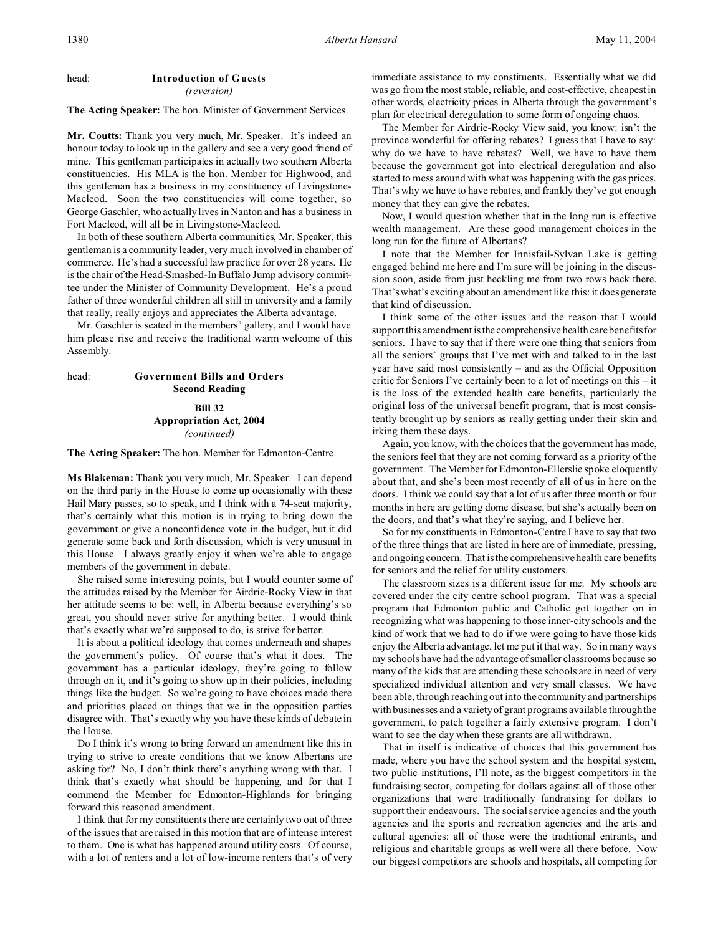#### head: **Introduction of Guests** *(reversion)*

**The Acting Speaker:** The hon. Minister of Government Services.

**Mr. Coutts:** Thank you very much, Mr. Speaker. It's indeed an honour today to look up in the gallery and see a very good friend of mine. This gentleman participates in actually two southern Alberta constituencies. His MLA is the hon. Member for Highwood, and this gentleman has a business in my constituency of Livingstone-Macleod. Soon the two constituencies will come together, so George Gaschler, who actually lives in Nanton and has a business in Fort Macleod, will all be in Livingstone-Macleod.

In both of these southern Alberta communities, Mr. Speaker, this gentleman is a community leader, very much involved in chamber of commerce. He's had a successful law practice for over 28 years. He is the chair of the Head-Smashed-In Buffalo Jump advisory committee under the Minister of Community Development. He's a proud father of three wonderful children all still in university and a family that really, really enjoys and appreciates the Alberta advantage.

Mr. Gaschler is seated in the members' gallery, and I would have him please rise and receive the traditional warm welcome of this Assembly.

head: **Government Bills and Orders Second Reading Bill 32**

**Appropriation Act, 2004** *(continued)*

**The Acting Speaker:** The hon. Member for Edmonton-Centre.

**Ms Blakeman:** Thank you very much, Mr. Speaker. I can depend on the third party in the House to come up occasionally with these Hail Mary passes, so to speak, and I think with a 74-seat majority, that's certainly what this motion is in trying to bring down the government or give a nonconfidence vote in the budget, but it did generate some back and forth discussion, which is very unusual in this House. I always greatly enjoy it when we're able to engage members of the government in debate.

She raised some interesting points, but I would counter some of the attitudes raised by the Member for Airdrie-Rocky View in that her attitude seems to be: well, in Alberta because everything's so great, you should never strive for anything better. I would think that's exactly what we're supposed to do, is strive for better.

It is about a political ideology that comes underneath and shapes the government's policy. Of course that's what it does. The government has a particular ideology, they're going to follow through on it, and it's going to show up in their policies, including things like the budget. So we're going to have choices made there and priorities placed on things that we in the opposition parties disagree with. That's exactly why you have these kinds of debate in the House.

Do I think it's wrong to bring forward an amendment like this in trying to strive to create conditions that we know Albertans are asking for? No, I don't think there's anything wrong with that. I think that's exactly what should be happening, and for that I commend the Member for Edmonton-Highlands for bringing forward this reasoned amendment.

I think that for my constituents there are certainly two out of three of the issues that are raised in this motion that are of intense interest to them. One is what has happened around utility costs. Of course, with a lot of renters and a lot of low-income renters that's of very immediate assistance to my constituents. Essentially what we did was go from the most stable, reliable, and cost-effective, cheapest in other words, electricity prices in Alberta through the government's plan for electrical deregulation to some form of ongoing chaos.

The Member for Airdrie-Rocky View said, you know: isn't the province wonderful for offering rebates? I guess that I have to say: why do we have to have rebates? Well, we have to have them because the government got into electrical deregulation and also started to mess around with what was happening with the gas prices. That's why we have to have rebates, and frankly they've got enough money that they can give the rebates.

Now, I would question whether that in the long run is effective wealth management. Are these good management choices in the long run for the future of Albertans?

I note that the Member for Innisfail-Sylvan Lake is getting engaged behind me here and I'm sure will be joining in the discussion soon, aside from just heckling me from two rows back there. That's what's exciting about an amendment like this: it does generate that kind of discussion.

I think some of the other issues and the reason that I would support this amendment is the comprehensive health care benefits for seniors. I have to say that if there were one thing that seniors from all the seniors' groups that I've met with and talked to in the last year have said most consistently – and as the Official Opposition critic for Seniors I've certainly been to a lot of meetings on this – it is the loss of the extended health care benefits, particularly the original loss of the universal benefit program, that is most consistently brought up by seniors as really getting under their skin and irking them these days.

Again, you know, with the choices that the government has made, the seniors feel that they are not coming forward as a priority of the government. The Member for Edmonton-Ellerslie spoke eloquently about that, and she's been most recently of all of us in here on the doors. I think we could say that a lot of us after three month or four months in here are getting dome disease, but she's actually been on the doors, and that's what they're saying, and I believe her.

So for my constituents in Edmonton-Centre I have to say that two of the three things that are listed in here are of immediate, pressing, and ongoing concern. That is the comprehensive health care benefits for seniors and the relief for utility customers.

The classroom sizes is a different issue for me. My schools are covered under the city centre school program. That was a special program that Edmonton public and Catholic got together on in recognizing what was happening to those inner-city schools and the kind of work that we had to do if we were going to have those kids enjoy the Alberta advantage, let me put it that way. So in many ways my schools have had the advantage of smaller classrooms because so many of the kids that are attending these schools are in need of very specialized individual attention and very small classes. We have been able, through reaching out into the community and partnerships with businesses and a variety of grant programs available through the government, to patch together a fairly extensive program. I don't want to see the day when these grants are all withdrawn.

That in itself is indicative of choices that this government has made, where you have the school system and the hospital system, two public institutions, I'll note, as the biggest competitors in the fundraising sector, competing for dollars against all of those other organizations that were traditionally fundraising for dollars to support their endeavours. The social service agencies and the youth agencies and the sports and recreation agencies and the arts and cultural agencies: all of those were the traditional entrants, and religious and charitable groups as well were all there before. Now our biggest competitors are schools and hospitals, all competing for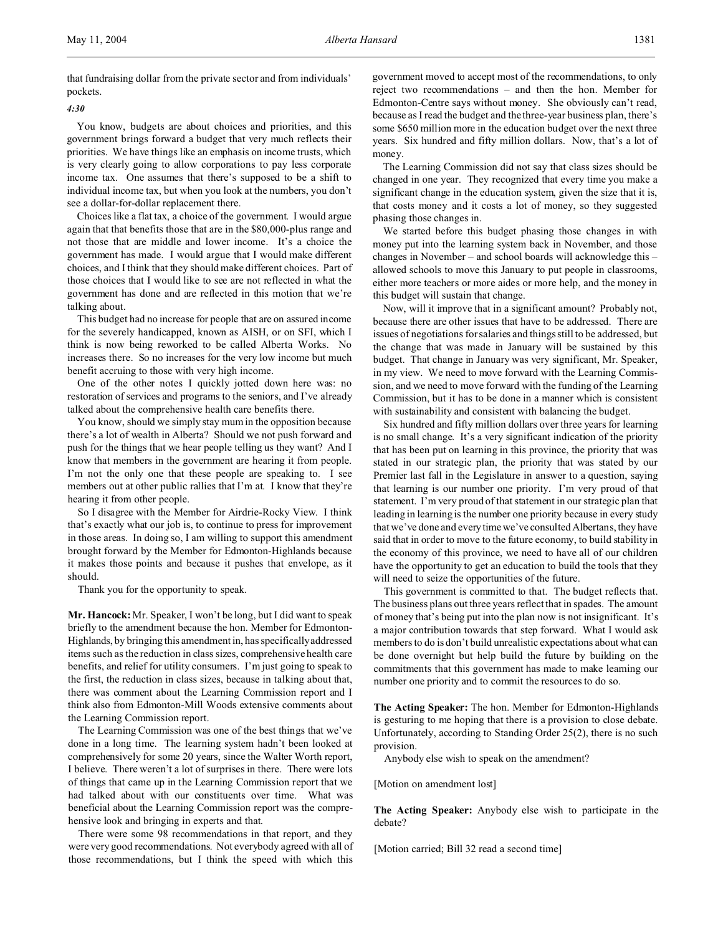that fundraising dollar from the private sector and from individuals' pockets.

#### *4:30*

You know, budgets are about choices and priorities, and this government brings forward a budget that very much reflects their priorities. We have things like an emphasis on income trusts, which is very clearly going to allow corporations to pay less corporate income tax. One assumes that there's supposed to be a shift to individual income tax, but when you look at the numbers, you don't see a dollar-for-dollar replacement there.

Choices like a flat tax, a choice of the government. I would argue again that that benefits those that are in the \$80,000-plus range and not those that are middle and lower income. It's a choice the government has made. I would argue that I would make different choices, and I think that they should make different choices. Part of those choices that I would like to see are not reflected in what the government has done and are reflected in this motion that we're talking about.

This budget had no increase for people that are on assured income for the severely handicapped, known as AISH, or on SFI, which I think is now being reworked to be called Alberta Works. No increases there. So no increases for the very low income but much benefit accruing to those with very high income.

One of the other notes I quickly jotted down here was: no restoration of services and programs to the seniors, and I've already talked about the comprehensive health care benefits there.

You know, should we simply stay mum in the opposition because there's a lot of wealth in Alberta? Should we not push forward and push for the things that we hear people telling us they want? And I know that members in the government are hearing it from people. I'm not the only one that these people are speaking to. I see members out at other public rallies that I'm at. I know that they're hearing it from other people.

So I disagree with the Member for Airdrie-Rocky View. I think that's exactly what our job is, to continue to press for improvement in those areas. In doing so, I am willing to support this amendment brought forward by the Member for Edmonton-Highlands because it makes those points and because it pushes that envelope, as it should.

Thank you for the opportunity to speak.

**Mr. Hancock:** Mr. Speaker, I won't be long, but I did want to speak briefly to the amendment because the hon. Member for Edmonton-Highlands, by bringing this amendment in, has specifically addressed items such as the reduction in class sizes, comprehensive health care benefits, and relief for utility consumers. I'm just going to speak to the first, the reduction in class sizes, because in talking about that, there was comment about the Learning Commission report and I think also from Edmonton-Mill Woods extensive comments about the Learning Commission report.

The Learning Commission was one of the best things that we've done in a long time. The learning system hadn't been looked at comprehensively for some 20 years, since the Walter Worth report, I believe. There weren't a lot of surprises in there. There were lots of things that came up in the Learning Commission report that we had talked about with our constituents over time. What was beneficial about the Learning Commission report was the comprehensive look and bringing in experts and that.

There were some 98 recommendations in that report, and they were very good recommendations. Not everybody agreed with all of those recommendations, but I think the speed with which this

government moved to accept most of the recommendations, to only reject two recommendations – and then the hon. Member for Edmonton-Centre says without money. She obviously can't read, because as I read the budget and the three-year business plan, there's some \$650 million more in the education budget over the next three years. Six hundred and fifty million dollars. Now, that's a lot of money.

The Learning Commission did not say that class sizes should be changed in one year. They recognized that every time you make a significant change in the education system, given the size that it is, that costs money and it costs a lot of money, so they suggested phasing those changes in.

We started before this budget phasing those changes in with money put into the learning system back in November, and those changes in November – and school boards will acknowledge this – allowed schools to move this January to put people in classrooms, either more teachers or more aides or more help, and the money in this budget will sustain that change.

Now, will it improve that in a significant amount? Probably not, because there are other issues that have to be addressed. There are issues of negotiations for salaries and things still to be addressed, but the change that was made in January will be sustained by this budget. That change in January was very significant, Mr. Speaker, in my view. We need to move forward with the Learning Commission, and we need to move forward with the funding of the Learning Commission, but it has to be done in a manner which is consistent with sustainability and consistent with balancing the budget.

Six hundred and fifty million dollars over three years for learning is no small change. It's a very significant indication of the priority that has been put on learning in this province, the priority that was stated in our strategic plan, the priority that was stated by our Premier last fall in the Legislature in answer to a question, saying that learning is our number one priority. I'm very proud of that statement. I'm very proud of that statement in our strategic plan that leading in learning is the number one priority because in every study that we've done and every time we've consulted Albertans, they have said that in order to move to the future economy, to build stability in the economy of this province, we need to have all of our children have the opportunity to get an education to build the tools that they will need to seize the opportunities of the future.

This government is committed to that. The budget reflects that. The business plans out three years reflect that in spades. The amount of money that's being put into the plan now is not insignificant. It's a major contribution towards that step forward. What I would ask members to do is don't build unrealistic expectations about what can be done overnight but help build the future by building on the commitments that this government has made to make learning our number one priority and to commit the resources to do so.

**The Acting Speaker:** The hon. Member for Edmonton-Highlands is gesturing to me hoping that there is a provision to close debate. Unfortunately, according to Standing Order 25(2), there is no such provision.

Anybody else wish to speak on the amendment?

[Motion on amendment lost]

**The Acting Speaker:** Anybody else wish to participate in the debate?

[Motion carried; Bill 32 read a second time]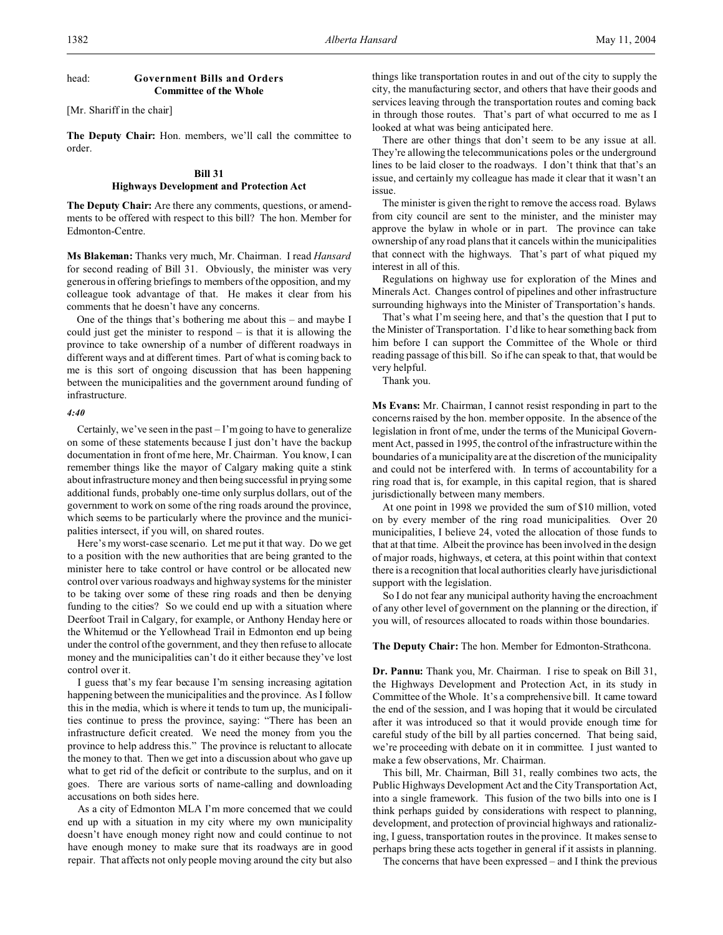## head: **Government Bills and Orders Committee of the Whole**

[Mr. Shariff in the chair]

**The Deputy Chair:** Hon. members, we'll call the committee to order.

# **Bill 31 Highways Development and Protection Act**

**The Deputy Chair:** Are there any comments, questions, or amendments to be offered with respect to this bill? The hon. Member for Edmonton-Centre.

**Ms Blakeman:** Thanks very much, Mr. Chairman. I read *Hansard* for second reading of Bill 31. Obviously, the minister was very generous in offering briefings to members of the opposition, and my colleague took advantage of that. He makes it clear from his comments that he doesn't have any concerns.

One of the things that's bothering me about this – and maybe I could just get the minister to respond – is that it is allowing the province to take ownership of a number of different roadways in different ways and at different times. Part of what is coming back to me is this sort of ongoing discussion that has been happening between the municipalities and the government around funding of infrastructure.

#### *4:40*

Certainly, we've seen in the past – I'm going to have to generalize on some of these statements because I just don't have the backup documentation in front of me here, Mr. Chairman. You know, I can remember things like the mayor of Calgary making quite a stink about infrastructure money and then being successful in prying some additional funds, probably one-time only surplus dollars, out of the government to work on some of the ring roads around the province, which seems to be particularly where the province and the municipalities intersect, if you will, on shared routes.

Here's my worst-case scenario. Let me put it that way. Do we get to a position with the new authorities that are being granted to the minister here to take control or have control or be allocated new control over various roadways and highway systems for the minister to be taking over some of these ring roads and then be denying funding to the cities? So we could end up with a situation where Deerfoot Trail in Calgary, for example, or Anthony Henday here or the Whitemud or the Yellowhead Trail in Edmonton end up being under the control of the government, and they then refuse to allocate money and the municipalities can't do it either because they've lost control over it.

I guess that's my fear because I'm sensing increasing agitation happening between the municipalities and the province. As I follow this in the media, which is where it tends to turn up, the municipalities continue to press the province, saying: "There has been an infrastructure deficit created. We need the money from you the province to help address this." The province is reluctant to allocate the money to that. Then we get into a discussion about who gave up what to get rid of the deficit or contribute to the surplus, and on it goes. There are various sorts of name-calling and downloading accusations on both sides here.

As a city of Edmonton MLA I'm more concerned that we could end up with a situation in my city where my own municipality doesn't have enough money right now and could continue to not have enough money to make sure that its roadways are in good repair. That affects not only people moving around the city but also things like transportation routes in and out of the city to supply the city, the manufacturing sector, and others that have their goods and services leaving through the transportation routes and coming back in through those routes. That's part of what occurred to me as I looked at what was being anticipated here.

There are other things that don't seem to be any issue at all. They're allowing the telecommunications poles or the underground lines to be laid closer to the roadways. I don't think that that's an issue, and certainly my colleague has made it clear that it wasn't an issue.

The minister is given the right to remove the access road. Bylaws from city council are sent to the minister, and the minister may approve the bylaw in whole or in part. The province can take ownership of any road plans that it cancels within the municipalities that connect with the highways. That's part of what piqued my interest in all of this.

Regulations on highway use for exploration of the Mines and Minerals Act. Changes control of pipelines and other infrastructure surrounding highways into the Minister of Transportation's hands.

That's what I'm seeing here, and that's the question that I put to the Minister of Transportation. I'd like to hear something back from him before I can support the Committee of the Whole or third reading passage of this bill. So if he can speak to that, that would be very helpful.

Thank you.

**Ms Evans:** Mr. Chairman, I cannot resist responding in part to the concerns raised by the hon. member opposite. In the absence of the legislation in front of me, under the terms of the Municipal Government Act, passed in 1995, the control of the infrastructure within the boundaries of a municipality are at the discretion of the municipality and could not be interfered with. In terms of accountability for a ring road that is, for example, in this capital region, that is shared jurisdictionally between many members.

At one point in 1998 we provided the sum of \$10 million, voted on by every member of the ring road municipalities. Over 20 municipalities, I believe 24, voted the allocation of those funds to that at that time. Albeit the province has been involved in the design of major roads, highways, et cetera, at this point within that context there is a recognition that local authorities clearly have jurisdictional support with the legislation.

So I do not fear any municipal authority having the encroachment of any other level of government on the planning or the direction, if you will, of resources allocated to roads within those boundaries.

#### **The Deputy Chair:** The hon. Member for Edmonton-Strathcona.

**Dr. Pannu:** Thank you, Mr. Chairman. I rise to speak on Bill 31, the Highways Development and Protection Act, in its study in Committee of the Whole. It's a comprehensive bill. It came toward the end of the session, and I was hoping that it would be circulated after it was introduced so that it would provide enough time for careful study of the bill by all parties concerned. That being said, we're proceeding with debate on it in committee. I just wanted to make a few observations, Mr. Chairman.

This bill, Mr. Chairman, Bill 31, really combines two acts, the Public Highways Development Act and the City Transportation Act, into a single framework. This fusion of the two bills into one is I think perhaps guided by considerations with respect to planning, development, and protection of provincial highways and rationalizing, I guess, transportation routes in the province. It makes sense to perhaps bring these acts together in general if it assists in planning.

The concerns that have been expressed – and I think the previous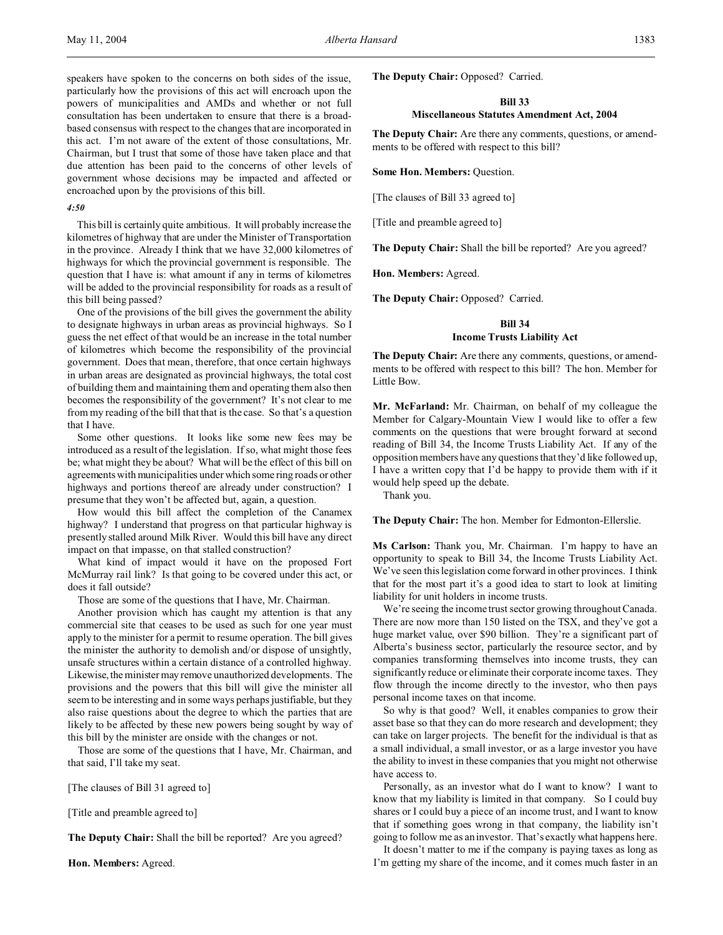speakers have spoken to the concerns on both sides of the issue, particularly how the provisions of this act will encroach upon the powers of municipalities and AMDs and whether or not full consultation has been undertaken to ensure that there is a broadbased consensus with respect to the changes that are incorporated in this act. I'm not aware of the extent of those consultations, Mr. Chairman, but I trust that some of those have taken place and that due attention has been paid to the concerns of other levels of government whose decisions may be impacted and affected or encroached upon by the provisions of this bill.

#### *4:50*

This bill is certainly quite ambitious. It will probably increase the kilometres of highway that are under the Minister of Transportation in the province. Already I think that we have 32,000 kilometres of highways for which the provincial government is responsible. The question that I have is: what amount if any in terms of kilometres will be added to the provincial responsibility for roads as a result of this bill being passed?

One of the provisions of the bill gives the government the ability to designate highways in urban areas as provincial highways. So I guess the net effect of that would be an increase in the total number of kilometres which become the responsibility of the provincial government. Does that mean, therefore, that once certain highways in urban areas are designated as provincial highways, the total cost of building them and maintaining them and operating them also then becomes the responsibility of the government? It's not clear to me from my reading of the bill that that is the case. So that's a question that I have.

Some other questions. It looks like some new fees may be introduced as a result of the legislation. If so, what might those fees be; what might they be about? What will be the effect of this bill on agreements with municipalities under which some ring roads or other highways and portions thereof are already under construction? I presume that they won't be affected but, again, a question.

How would this bill affect the completion of the Canamex highway? I understand that progress on that particular highway is presently stalled around Milk River. Would this bill have any direct impact on that impasse, on that stalled construction?

What kind of impact would it have on the proposed Fort McMurray rail link? Is that going to be covered under this act, or does it fall outside?

Those are some of the questions that I have, Mr. Chairman.

Another provision which has caught my attention is that any commercial site that ceases to be used as such for one year must apply to the minister for a permit to resume operation. The bill gives the minister the authority to demolish and/or dispose of unsightly, unsafe structures within a certain distance of a controlled highway. Likewise, the minister may remove unauthorized developments. The provisions and the powers that this bill will give the minister all seem to be interesting and in some ways perhaps justifiable, but they also raise questions about the degree to which the parties that are likely to be affected by these new powers being sought by way of this bill by the minister are onside with the changes or not.

Those are some of the questions that I have, Mr. Chairman, and that said, I'll take my seat.

[The clauses of Bill 31 agreed to]

[Title and preamble agreed to]

**The Deputy Chair:** Shall the bill be reported? Are you agreed?

**Hon. Members:** Agreed.

**The Deputy Chair:** Opposed? Carried.

# **Bill 33**

**Miscellaneous Statutes Amendment Act, 2004**

**The Deputy Chair:** Are there any comments, questions, or amendments to be offered with respect to this bill?

**Some Hon. Members:** Question.

[The clauses of Bill 33 agreed to]

[Title and preamble agreed to]

**The Deputy Chair:** Shall the bill be reported? Are you agreed?

**Hon. Members:** Agreed.

**The Deputy Chair:** Opposed? Carried.

# **Bill 34 Income Trusts Liability Act**

**The Deputy Chair:** Are there any comments, questions, or amendments to be offered with respect to this bill? The hon. Member for Little Bow.

**Mr. McFarland:** Mr. Chairman, on behalf of my colleague the Member for Calgary-Mountain View I would like to offer a few comments on the questions that were brought forward at second reading of Bill 34, the Income Trusts Liability Act. If any of the opposition members have any questions that they'd like followed up, I have a written copy that I'd be happy to provide them with if it would help speed up the debate.

Thank you.

**The Deputy Chair:** The hon. Member for Edmonton-Ellerslie.

**Ms Carlson:** Thank you, Mr. Chairman. I'm happy to have an opportunity to speak to Bill 34, the Income Trusts Liability Act. We've seen this legislation come forward in other provinces. I think that for the most part it's a good idea to start to look at limiting liability for unit holders in income trusts.

We're seeing the income trust sector growing throughout Canada. There are now more than 150 listed on the TSX, and they've got a huge market value, over \$90 billion. They're a significant part of Alberta's business sector, particularly the resource sector, and by companies transforming themselves into income trusts, they can significantly reduce or eliminate their corporate income taxes. They flow through the income directly to the investor, who then pays personal income taxes on that income.

So why is that good? Well, it enables companies to grow their asset base so that they can do more research and development; they can take on larger projects. The benefit for the individual is that as a small individual, a small investor, or as a large investor you have the ability to invest in these companies that you might not otherwise have access to.

Personally, as an investor what do I want to know? I want to know that my liability is limited in that company. So I could buy shares or I could buy a piece of an income trust, and I want to know that if something goes wrong in that company, the liability isn't going to follow me as an investor. That's exactly what happens here.

It doesn't matter to me if the company is paying taxes as long as I'm getting my share of the income, and it comes much faster in an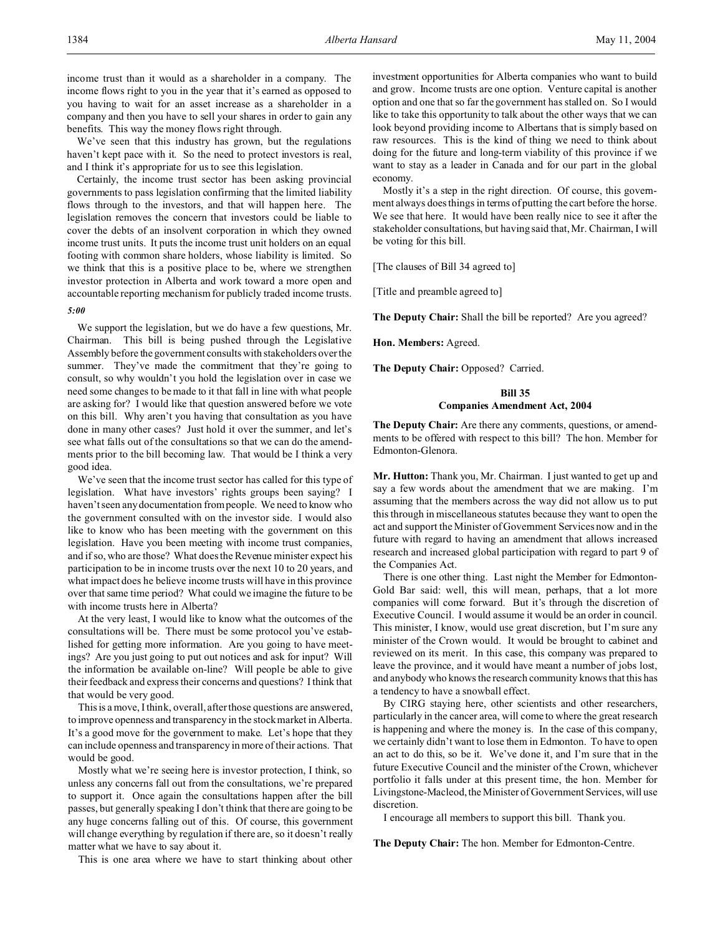income trust than it would as a shareholder in a company. The income flows right to you in the year that it's earned as opposed to you having to wait for an asset increase as a shareholder in a company and then you have to sell your shares in order to gain any benefits. This way the money flows right through.

We've seen that this industry has grown, but the regulations haven't kept pace with it. So the need to protect investors is real, and I think it's appropriate for us to see this legislation.

Certainly, the income trust sector has been asking provincial governments to pass legislation confirming that the limited liability flows through to the investors, and that will happen here. The legislation removes the concern that investors could be liable to cover the debts of an insolvent corporation in which they owned income trust units. It puts the income trust unit holders on an equal footing with common share holders, whose liability is limited. So we think that this is a positive place to be, where we strengthen investor protection in Alberta and work toward a more open and accountable reporting mechanism for publicly traded income trusts.

# *5:00*

We support the legislation, but we do have a few questions, Mr. Chairman. This bill is being pushed through the Legislative Assembly before the government consults with stakeholders over the summer. They've made the commitment that they're going to consult, so why wouldn't you hold the legislation over in case we need some changes to be made to it that fall in line with what people are asking for? I would like that question answered before we vote on this bill. Why aren't you having that consultation as you have done in many other cases? Just hold it over the summer, and let's see what falls out of the consultations so that we can do the amendments prior to the bill becoming law. That would be I think a very good idea.

We've seen that the income trust sector has called for this type of legislation. What have investors' rights groups been saying? I haven't seen any documentation from people. We need to know who the government consulted with on the investor side. I would also like to know who has been meeting with the government on this legislation. Have you been meeting with income trust companies, and if so, who are those? What does the Revenue minister expect his participation to be in income trusts over the next 10 to 20 years, and what impact does he believe income trusts will have in this province over that same time period? What could we imagine the future to be with income trusts here in Alberta?

At the very least, I would like to know what the outcomes of the consultations will be. There must be some protocol you've established for getting more information. Are you going to have meetings? Are you just going to put out notices and ask for input? Will the information be available on-line? Will people be able to give their feedback and express their concerns and questions? I think that that would be very good.

This is a move, I think, overall, after those questions are answered, to improve openness and transparency in the stock market in Alberta. It's a good move for the government to make. Let's hope that they can include openness and transparency in more of their actions. That would be good.

Mostly what we're seeing here is investor protection, I think, so unless any concerns fall out from the consultations, we're prepared to support it. Once again the consultations happen after the bill passes, but generally speaking I don't think that there are going to be any huge concerns falling out of this. Of course, this government will change everything by regulation if there are, so it doesn't really matter what we have to say about it.

This is one area where we have to start thinking about other

investment opportunities for Alberta companies who want to build and grow. Income trusts are one option. Venture capital is another option and one that so far the government has stalled on. So I would like to take this opportunity to talk about the other ways that we can look beyond providing income to Albertans that is simply based on raw resources. This is the kind of thing we need to think about doing for the future and long-term viability of this province if we want to stay as a leader in Canada and for our part in the global economy.

Mostly it's a step in the right direction. Of course, this government always does things in terms of putting the cart before the horse. We see that here. It would have been really nice to see it after the stakeholder consultations, but having said that, Mr. Chairman, I will be voting for this bill.

[The clauses of Bill 34 agreed to]

[Title and preamble agreed to]

**The Deputy Chair:** Shall the bill be reported? Are you agreed?

**Hon. Members:** Agreed.

**The Deputy Chair:** Opposed? Carried.

# **Bill 35 Companies Amendment Act, 2004**

**The Deputy Chair:** Are there any comments, questions, or amendments to be offered with respect to this bill? The hon. Member for Edmonton-Glenora.

**Mr. Hutton:** Thank you, Mr. Chairman. I just wanted to get up and say a few words about the amendment that we are making. I'm assuming that the members across the way did not allow us to put this through in miscellaneous statutes because they want to open the act and support the Minister of Government Services now and in the future with regard to having an amendment that allows increased research and increased global participation with regard to part 9 of the Companies Act.

There is one other thing. Last night the Member for Edmonton-Gold Bar said: well, this will mean, perhaps, that a lot more companies will come forward. But it's through the discretion of Executive Council. I would assume it would be an order in council. This minister, I know, would use great discretion, but I'm sure any minister of the Crown would. It would be brought to cabinet and reviewed on its merit. In this case, this company was prepared to leave the province, and it would have meant a number of jobs lost, and anybody who knows the research community knows that this has a tendency to have a snowball effect.

By CIRG staying here, other scientists and other researchers, particularly in the cancer area, will come to where the great research is happening and where the money is. In the case of this company, we certainly didn't want to lose them in Edmonton. To have to open an act to do this, so be it. We've done it, and I'm sure that in the future Executive Council and the minister of the Crown, whichever portfolio it falls under at this present time, the hon. Member for Livingstone-Macleod, the Minister of Government Services, will use discretion.

I encourage all members to support this bill. Thank you.

**The Deputy Chair:** The hon. Member for Edmonton-Centre.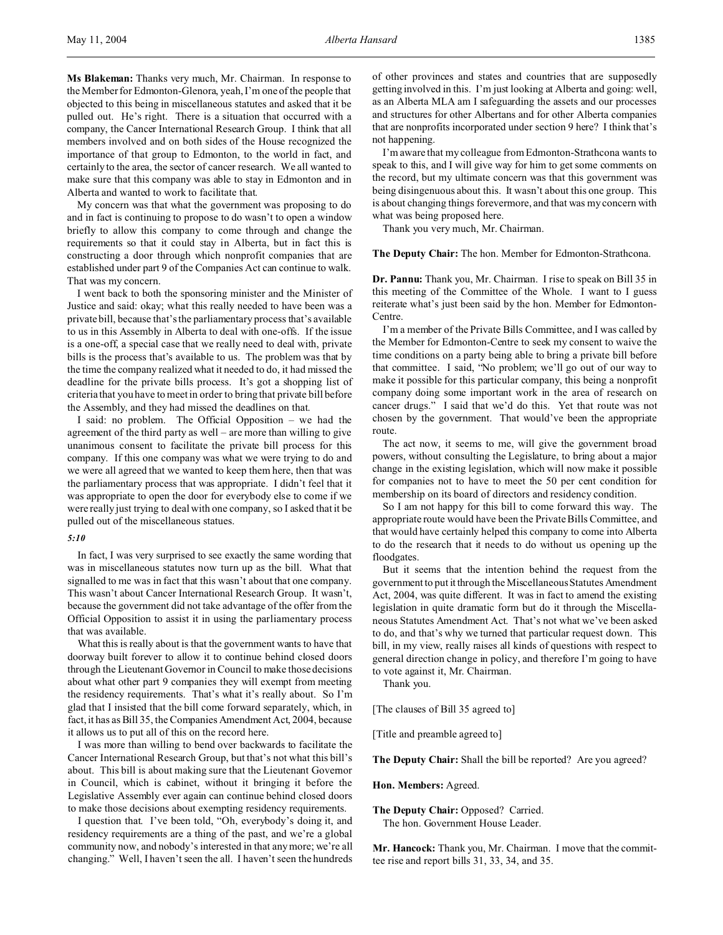**Ms Blakeman:** Thanks very much, Mr. Chairman. In response to the Member for Edmonton-Glenora, yeah, I'm one of the people that objected to this being in miscellaneous statutes and asked that it be pulled out. He's right. There is a situation that occurred with a company, the Cancer International Research Group. I think that all members involved and on both sides of the House recognized the importance of that group to Edmonton, to the world in fact, and certainly to the area, the sector of cancer research. We all wanted to make sure that this company was able to stay in Edmonton and in Alberta and wanted to work to facilitate that.

My concern was that what the government was proposing to do and in fact is continuing to propose to do wasn't to open a window briefly to allow this company to come through and change the requirements so that it could stay in Alberta, but in fact this is constructing a door through which nonprofit companies that are established under part 9 of the Companies Act can continue to walk. That was my concern.

I went back to both the sponsoring minister and the Minister of Justice and said: okay; what this really needed to have been was a private bill, because that's the parliamentary process that's available to us in this Assembly in Alberta to deal with one-offs. If the issue is a one-off, a special case that we really need to deal with, private bills is the process that's available to us. The problem was that by the time the company realized what it needed to do, it had missed the deadline for the private bills process. It's got a shopping list of criteria that you have to meet in order to bring that private bill before the Assembly, and they had missed the deadlines on that.

I said: no problem. The Official Opposition – we had the agreement of the third party as well – are more than willing to give unanimous consent to facilitate the private bill process for this company. If this one company was what we were trying to do and we were all agreed that we wanted to keep them here, then that was the parliamentary process that was appropriate. I didn't feel that it was appropriate to open the door for everybody else to come if we were really just trying to deal with one company, so I asked that it be pulled out of the miscellaneous statues.

## *5:10*

In fact, I was very surprised to see exactly the same wording that was in miscellaneous statutes now turn up as the bill. What that signalled to me was in fact that this wasn't about that one company. This wasn't about Cancer International Research Group. It wasn't, because the government did not take advantage of the offer from the Official Opposition to assist it in using the parliamentary process that was available.

What this is really about is that the government wants to have that doorway built forever to allow it to continue behind closed doors through the Lieutenant Governor in Council to make those decisions about what other part 9 companies they will exempt from meeting the residency requirements. That's what it's really about. So I'm glad that I insisted that the bill come forward separately, which, in fact, it has as Bill 35, the Companies Amendment Act, 2004, because it allows us to put all of this on the record here.

I was more than willing to bend over backwards to facilitate the Cancer International Research Group, but that's not what this bill's about. This bill is about making sure that the Lieutenant Governor in Council, which is cabinet, without it bringing it before the Legislative Assembly ever again can continue behind closed doors to make those decisions about exempting residency requirements.

I question that. I've been told, "Oh, everybody's doing it, and residency requirements are a thing of the past, and we're a global community now, and nobody's interested in that any more; we're all changing." Well, I haven't seen the all. I haven't seen the hundreds

of other provinces and states and countries that are supposedly getting involved in this. I'm just looking at Alberta and going: well, as an Alberta MLA am I safeguarding the assets and our processes and structures for other Albertans and for other Alberta companies that are nonprofits incorporated under section 9 here? I think that's not happening.

I'm aware that my colleague from Edmonton-Strathcona wants to speak to this, and I will give way for him to get some comments on the record, but my ultimate concern was that this government was being disingenuous about this. It wasn't about this one group. This is about changing things forevermore, and that was my concern with what was being proposed here.

Thank you very much, Mr. Chairman.

#### **The Deputy Chair:** The hon. Member for Edmonton-Strathcona.

**Dr. Pannu:** Thank you, Mr. Chairman. I rise to speak on Bill 35 in this meeting of the Committee of the Whole. I want to I guess reiterate what's just been said by the hon. Member for Edmonton-Centre.

I'm a member of the Private Bills Committee, and I was called by the Member for Edmonton-Centre to seek my consent to waive the time conditions on a party being able to bring a private bill before that committee. I said, "No problem; we'll go out of our way to make it possible for this particular company, this being a nonprofit company doing some important work in the area of research on cancer drugs." I said that we'd do this. Yet that route was not chosen by the government. That would've been the appropriate route.

The act now, it seems to me, will give the government broad powers, without consulting the Legislature, to bring about a major change in the existing legislation, which will now make it possible for companies not to have to meet the 50 per cent condition for membership on its board of directors and residency condition.

So I am not happy for this bill to come forward this way. The appropriate route would have been the Private Bills Committee, and that would have certainly helped this company to come into Alberta to do the research that it needs to do without us opening up the floodgates.

But it seems that the intention behind the request from the government to put itthrough the Miscellaneous Statutes Amendment Act, 2004, was quite different. It was in fact to amend the existing legislation in quite dramatic form but do it through the Miscellaneous Statutes Amendment Act. That's not what we've been asked to do, and that's why we turned that particular request down. This bill, in my view, really raises all kinds of questions with respect to general direction change in policy, and therefore I'm going to have to vote against it, Mr. Chairman.

Thank you.

[The clauses of Bill 35 agreed to]

[Title and preamble agreed to]

**The Deputy Chair:** Shall the bill be reported? Are you agreed?

**Hon. Members:** Agreed.

**The Deputy Chair:** Opposed? Carried. The hon. Government House Leader.

**Mr. Hancock:** Thank you, Mr. Chairman. I move that the committee rise and report bills 31, 33, 34, and 35.